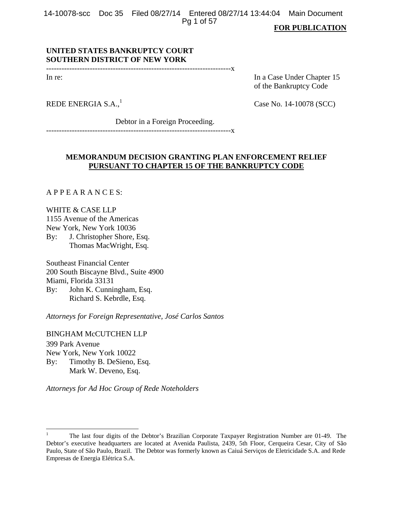14-10078-scc Doc 35 Filed 08/27/14 Entered 08/27/14 13:44:04 Main Document Pg 1 of 57

#### **FOR PUBLICATION**

# **UNITED STATES BANKRUPTCY COURT SOUTHERN DISTRICT OF NEW YORK**

------------------------------------------------------------------------x

In re: In a Case Under Chapter 15 of the Bankruptcy Code

REDE ENERGIA  $S.A.,<sup>1</sup>$ 

Case No. 14-10078 (SCC)

Debtor in a Foreign Proceeding.

------------------------------------------------------------------------x

# **MEMORANDUM DECISION GRANTING PLAN ENFORCEMENT RELIEF PURSUANT TO CHAPTER 15 OF THE BANKRUPTCY CODE**

A P P E A R A N C E S:

WHITE & CASE LLP 1155 Avenue of the Americas New York, New York 10036 By: J. Christopher Shore, Esq. Thomas MacWright, Esq.

Southeast Financial Center 200 South Biscayne Blvd., Suite 4900 Miami, Florida 33131 By: John K. Cunningham, Esq. Richard S. Kebrdle, Esq.

*Attorneys for Foreign Representative, José Carlos Santos* 

BINGHAM McCUTCHEN LLP 399 Park Avenue New York, New York 10022 By: Timothy B. DeSieno, Esq. Mark W. Deveno, Esq.

*Attorneys for Ad Hoc Group of Rede Noteholders* 

<sup>1</sup> The last four digits of the Debtor's Brazilian Corporate Taxpayer Registration Number are 01-49. The Debtor's executive headquarters are located at Avenida Paulista, 2439, 5th Floor, Cerqueira Cesar, City of São Paulo, State of São Paulo, Brazil. The Debtor was formerly known as Caiuá Serviços de Eletricidade S.A. and Rede Empresas de Energia Elétrica S.A.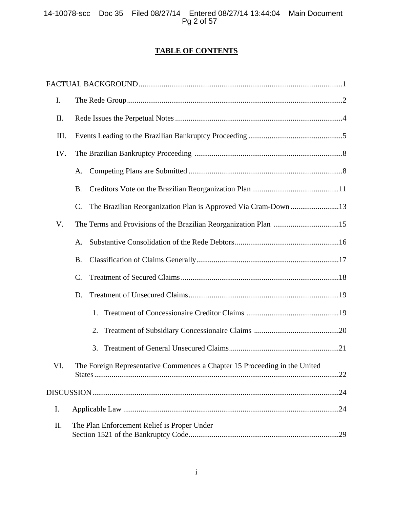# **TABLE OF CONTENTS**

| I.   |                                                                            |  |  |  |
|------|----------------------------------------------------------------------------|--|--|--|
| II.  |                                                                            |  |  |  |
| III. |                                                                            |  |  |  |
| IV.  |                                                                            |  |  |  |
|      | A.                                                                         |  |  |  |
|      | <b>B.</b>                                                                  |  |  |  |
|      | C.                                                                         |  |  |  |
| V.   |                                                                            |  |  |  |
|      | A.                                                                         |  |  |  |
|      | <b>B.</b>                                                                  |  |  |  |
|      | $\mathcal{C}$ .                                                            |  |  |  |
|      | D.                                                                         |  |  |  |
|      | 1.                                                                         |  |  |  |
|      | 2.                                                                         |  |  |  |
|      | 3.                                                                         |  |  |  |
| VI.  | The Foreign Representative Commences a Chapter 15 Proceeding in the United |  |  |  |
|      |                                                                            |  |  |  |
| I.   |                                                                            |  |  |  |
| II.  | The Plan Enforcement Relief is Proper Under                                |  |  |  |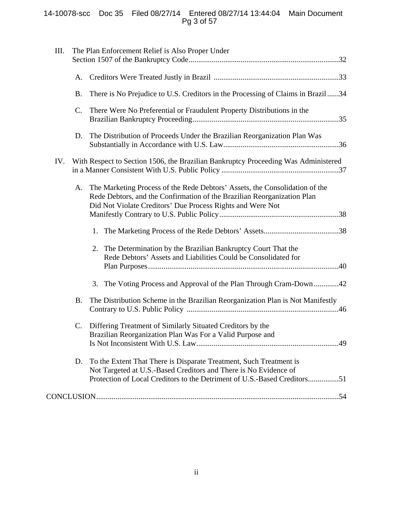# 14-10078-scc Doc 35 Filed 08/27/14 Entered 08/27/14 13:44:04 Main Document Pg 3 of 57

| III. |                | The Plan Enforcement Relief is Also Proper Under                                                                                                                                                                     |
|------|----------------|----------------------------------------------------------------------------------------------------------------------------------------------------------------------------------------------------------------------|
|      | A.             |                                                                                                                                                                                                                      |
|      | <b>B.</b>      | There is No Prejudice to U.S. Creditors in the Processing of Claims in Brazil34                                                                                                                                      |
|      | $\mathsf{C}$ . | There Were No Preferential or Fraudulent Property Distributions in the                                                                                                                                               |
|      | D.             | The Distribution of Proceeds Under the Brazilian Reorganization Plan Was                                                                                                                                             |
| IV.  |                | With Respect to Section 1506, the Brazilian Bankruptcy Proceeding Was Administered                                                                                                                                   |
|      | А.             | The Marketing Process of the Rede Debtors' Assets, the Consolidation of the<br>Rede Debtors, and the Confirmation of the Brazilian Reorganization Plan<br>Did Not Violate Creditors' Due Process Rights and Were Not |
|      |                | 1.                                                                                                                                                                                                                   |
|      |                | The Determination by the Brazilian Bankruptcy Court That the<br>2.<br>Rede Debtors' Assets and Liabilities Could be Consolidated for                                                                                 |
|      |                | The Voting Process and Approval of the Plan Through Cram-Down42<br>3.                                                                                                                                                |
|      | <b>B.</b>      | The Distribution Scheme in the Brazilian Reorganization Plan is Not Manifestly                                                                                                                                       |
|      | C.             | Differing Treatment of Similarly Situated Creditors by the<br>Brazilian Reorganization Plan Was For a Valid Purpose and                                                                                              |
|      | D.             | To the Extent That There is Disparate Treatment, Such Treatment is<br>Not Targeted at U.S.-Based Creditors and There is No Evidence of<br>Protection of Local Creditors to the Detriment of U.S.-Based Creditors51   |
|      |                |                                                                                                                                                                                                                      |
|      |                |                                                                                                                                                                                                                      |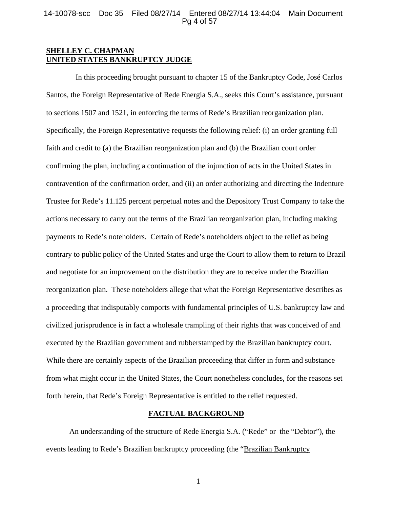### 14-10078-scc Doc 35 Filed 08/27/14 Entered 08/27/14 13:44:04 Main Document Pg 4 of 57

# **SHELLEY C. CHAPMAN UNITED STATES BANKRUPTCY JUDGE**

 In this proceeding brought pursuant to chapter 15 of the Bankruptcy Code, José Carlos Santos, the Foreign Representative of Rede Energia S.A., seeks this Court's assistance, pursuant to sections 1507 and 1521, in enforcing the terms of Rede's Brazilian reorganization plan. Specifically, the Foreign Representative requests the following relief: (i) an order granting full faith and credit to (a) the Brazilian reorganization plan and (b) the Brazilian court order confirming the plan, including a continuation of the injunction of acts in the United States in contravention of the confirmation order, and (ii) an order authorizing and directing the Indenture Trustee for Rede's 11.125 percent perpetual notes and the Depository Trust Company to take the actions necessary to carry out the terms of the Brazilian reorganization plan, including making payments to Rede's noteholders. Certain of Rede's noteholders object to the relief as being contrary to public policy of the United States and urge the Court to allow them to return to Brazil and negotiate for an improvement on the distribution they are to receive under the Brazilian reorganization plan. These noteholders allege that what the Foreign Representative describes as a proceeding that indisputably comports with fundamental principles of U.S. bankruptcy law and civilized jurisprudence is in fact a wholesale trampling of their rights that was conceived of and executed by the Brazilian government and rubberstamped by the Brazilian bankruptcy court. While there are certainly aspects of the Brazilian proceeding that differ in form and substance from what might occur in the United States, the Court nonetheless concludes, for the reasons set forth herein, that Rede's Foreign Representative is entitled to the relief requested.

## **FACTUAL BACKGROUND**

 An understanding of the structure of Rede Energia S.A. ("Rede" or the "Debtor"), the events leading to Rede's Brazilian bankruptcy proceeding (the "Brazilian Bankruptcy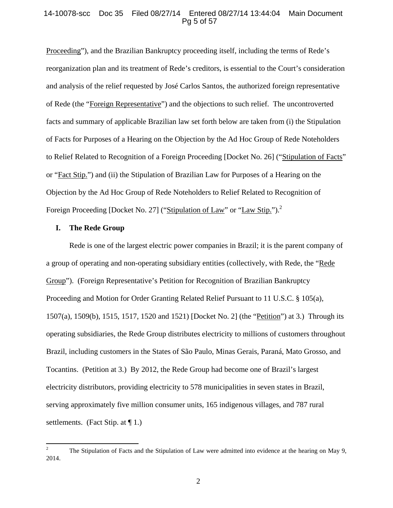### 14-10078-scc Doc 35 Filed 08/27/14 Entered 08/27/14 13:44:04 Main Document Pg 5 of 57

Proceeding"), and the Brazilian Bankruptcy proceeding itself, including the terms of Rede's reorganization plan and its treatment of Rede's creditors, is essential to the Court's consideration and analysis of the relief requested by José Carlos Santos, the authorized foreign representative of Rede (the "Foreign Representative") and the objections to such relief. The uncontroverted facts and summary of applicable Brazilian law set forth below are taken from (i) the Stipulation of Facts for Purposes of a Hearing on the Objection by the Ad Hoc Group of Rede Noteholders to Relief Related to Recognition of a Foreign Proceeding [Docket No. 26] ("Stipulation of Facts" or "Fact Stip.") and (ii) the Stipulation of Brazilian Law for Purposes of a Hearing on the Objection by the Ad Hoc Group of Rede Noteholders to Relief Related to Recognition of Foreign Proceeding [Docket No. 27] ("Stipulation of Law" or "Law Stip.").<sup>2</sup>

#### **I. The Rede Group**

 Rede is one of the largest electric power companies in Brazil; it is the parent company of a group of operating and non-operating subsidiary entities (collectively, with Rede, the "Rede Group"). (Foreign Representative's Petition for Recognition of Brazilian Bankruptcy Proceeding and Motion for Order Granting Related Relief Pursuant to 11 U.S.C. § 105(a), 1507(a), 1509(b), 1515, 1517, 1520 and 1521) [Docket No. 2] (the "Petition") at 3.) Through its operating subsidiaries, the Rede Group distributes electricity to millions of customers throughout Brazil, including customers in the States of São Paulo, Minas Gerais, Paraná, Mato Grosso, and Tocantins. (Petition at 3.) By 2012, the Rede Group had become one of Brazil's largest electricity distributors, providing electricity to 578 municipalities in seven states in Brazil, serving approximately five million consumer units, 165 indigenous villages, and 787 rural settlements. (Fact Stip. at  $\P$  1.)

<sup>2</sup> The Stipulation of Facts and the Stipulation of Law were admitted into evidence at the hearing on May 9, 2014.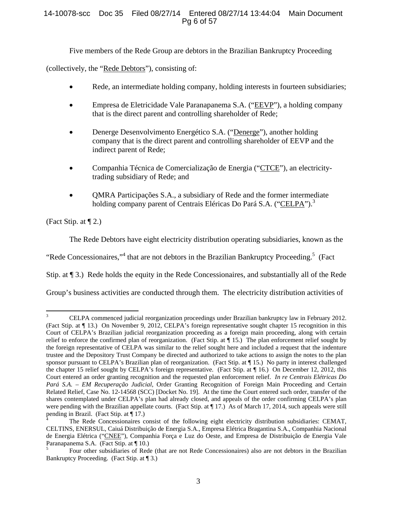# 14-10078-scc Doc 35 Filed 08/27/14 Entered 08/27/14 13:44:04 Main Document Pg 6 of 57

Five members of the Rede Group are debtors in the Brazilian Bankruptcy Proceeding

(collectively, the "Rede Debtors"), consisting of:

- Rede, an intermediate holding company, holding interests in fourteen subsidiaries;
- Empresa de Eletricidade Vale Paranapanema S.A. ("EEVP"), a holding company that is the direct parent and controlling shareholder of Rede;
- Denerge Desenvolvimento Energético S.A. ("Denerge"), another holding company that is the direct parent and controlling shareholder of EEVP and the indirect parent of Rede;
- Companhia Técnica de Comercialização de Energia ("CTCE"), an electricitytrading subsidiary of Rede; and
- QMRA Participações S.A., a subsidiary of Rede and the former intermediate holding company parent of Centrais Eléricas Do Pará S.A. ("CELPA").<sup>3</sup>

(Fact Stip. at ¶ 2.)

The Rede Debtors have eight electricity distribution operating subsidiaries, known as the

"Rede Concessionaires,"<sup>4</sup> that are not debtors in the Brazilian Bankruptcy Proceeding.<sup>5</sup> (Fact

Stip. at ¶ 3.) Rede holds the equity in the Rede Concessionaires, and substantially all of the Rede

Group's business activities are conducted through them. The electricity distribution activities of

<sup>3</sup> CELPA commenced judicial reorganization proceedings under Brazilian bankruptcy law in February 2012. (Fact Stip. at ¶ 13.) On November 9, 2012, CELPA's foreign representative sought chapter 15 recognition in this Court of CELPA's Brazilian judicial reorganization proceeding as a foreign main proceeding, along with certain relief to enforce the confirmed plan of reorganization. (Fact Stip. at ¶ 15.) The plan enforcement relief sought by the foreign representative of CELPA was similar to the relief sought here and included a request that the indenture trustee and the Depository Trust Company be directed and authorized to take actions to assign the notes to the plan sponsor pursuant to CELPA's Brazilian plan of reorganization. (Fact Stip. at ¶ 15.) No party in interest challenged the chapter 15 relief sought by CELPA's foreign representative. (Fact Stip. at ¶ 16.) On December 12, 2012, this Court entered an order granting recognition and the requested plan enforcement relief. *In re Centrais Elétricas Do Pará S.A. – EM Recuperação Judicial*, Order Granting Recognition of Foreign Main Proceeding and Certain Related Relief, Case No. 12-14568 (SCC) [Docket No. 19]. At the time the Court entered such order, transfer of the shares contemplated under CELPA's plan had already closed, and appeals of the order confirming CELPA's plan were pending with the Brazilian appellate courts. (Fact Stip. at  $\P$  17.) As of March 17, 2014, such appeals were still pending in Brazil. (Fact Stip. at ¶ 17.)

<sup>4</sup> The Rede Concessionaires consist of the following eight electricity distribution subsidiaries: CEMAT, CELTINS, ENERSUL, Caiuá Distribuição de Energia S.A., Empresa Elétrica Bragantina S.A., Companhia Nacional de Energia Elétrica ("CNEE"), Companhia Força e Luz do Oeste, and Empresa de Distribuição de Energia Vale Paranapanema S.A. (Fact Stip. at ¶ 10.)

<sup>5</sup> Four other subsidiaries of Rede (that are not Rede Concessionaires) also are not debtors in the Brazilian Bankruptcy Proceeding. (Fact Stip. at ¶ 3.)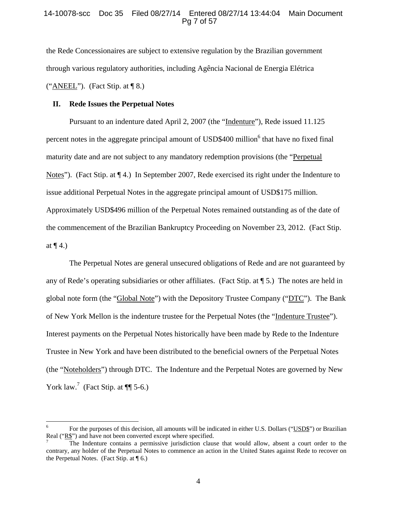### 14-10078-scc Doc 35 Filed 08/27/14 Entered 08/27/14 13:44:04 Main Document Pg 7 of 57

the Rede Concessionaires are subject to extensive regulation by the Brazilian government through various regulatory authorities, including Agência Nacional de Energia Elétrica ("ANEEL"). (Fact Stip. at  $\P$  8.)

#### **II. Rede Issues the Perpetual Notes**

Pursuant to an indenture dated April 2, 2007 (the "Indenture"), Rede issued 11.125 percent notes in the aggregate principal amount of USD\$400 million<sup>6</sup> that have no fixed final maturity date and are not subject to any mandatory redemption provisions (the "Perpetual Notes"). (Fact Stip. at ¶ 4.) In September 2007, Rede exercised its right under the Indenture to issue additional Perpetual Notes in the aggregate principal amount of USD\$175 million. Approximately USD\$496 million of the Perpetual Notes remained outstanding as of the date of the commencement of the Brazilian Bankruptcy Proceeding on November 23, 2012. (Fact Stip. at  $\P$  4.)

The Perpetual Notes are general unsecured obligations of Rede and are not guaranteed by any of Rede's operating subsidiaries or other affiliates. (Fact Stip. at ¶ 5.) The notes are held in global note form (the "Global Note") with the Depository Trustee Company ("DTC"). The Bank of New York Mellon is the indenture trustee for the Perpetual Notes (the "Indenture Trustee"). Interest payments on the Perpetual Notes historically have been made by Rede to the Indenture Trustee in New York and have been distributed to the beneficial owners of the Perpetual Notes (the "Noteholders") through DTC. The Indenture and the Perpetual Notes are governed by New York law.<sup>7</sup> (Fact Stip. at  $\P$ [ 5-6.)

<sup>6</sup> For the purposes of this decision, all amounts will be indicated in either U.S. Dollars ("USD\$") or Brazilian Real ("R\$") and have not been converted except where specified.

<sup>7</sup> The Indenture contains a permissive jurisdiction clause that would allow, absent a court order to the contrary, any holder of the Perpetual Notes to commence an action in the United States against Rede to recover on the Perpetual Notes. (Fact Stip. at  $\P$  6.)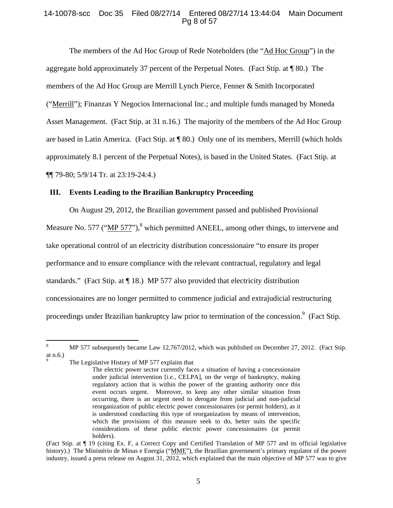# 14-10078-scc Doc 35 Filed 08/27/14 Entered 08/27/14 13:44:04 Main Document Pg 8 of 57

The members of the Ad Hoc Group of Rede Noteholders (the "Ad Hoc Group") in the aggregate hold approximately 37 percent of the Perpetual Notes. (Fact Stip. at ¶ 80.) The members of the Ad Hoc Group are Merrill Lynch Pierce, Fenner & Smith Incorporated ("Merrill"); Finanzas Y Negocios Internacional Inc.; and multiple funds managed by Moneda Asset Management. (Fact Stip. at 31 n.16.) The majority of the members of the Ad Hoc Group are based in Latin America. (Fact Stip. at ¶ 80.) Only one of its members, Merrill (which holds approximately 8.1 percent of the Perpetual Notes), is based in the United States. (Fact Stip. at ¶¶ 79-80; 5/9/14 Tr. at 23:19-24:4.)

## **III. Events Leading to the Brazilian Bankruptcy Proceeding**

On August 29, 2012, the Brazilian government passed and published Provisional Measure No. 577 ("MP 577"),<sup>8</sup> which permitted ANEEL, among other things, to intervene and take operational control of an electricity distribution concessionaire "to ensure its proper performance and to ensure compliance with the relevant contractual, regulatory and legal standards." (Fact Stip. at ¶ 18.) MP 577 also provided that electricity distribution concessionaires are no longer permitted to commence judicial and extrajudicial restructuring proceedings under Brazilian bankruptcy law prior to termination of the concession.<sup>9</sup> (Fact Stip.

The Legislative History of MP 577 explains that

<sup>8</sup> MP 577 subsequently became Law 12,767/2012, which was published on December 27, 2012. (Fact Stip. at n.6.) 9

The electric power sector currently faces a situation of having a concessionaire under judicial intervention [*i.e.*, CELPA], on the verge of bankruptcy, making regulatory action that is within the power of the granting authority once this event occurs urgent. Moreover, to keep any other similar situation from occurring, there is an urgent need to derogate from judicial and non-judicial reorganization of public electric power concessionaires (or permit holders), as it is understood conducting this type of reorganization by means of intervention, which the provisions of this measure seek to do, better suits the specific considerations of these public electric power concessionaires (or permit holders).

<sup>(</sup>Fact Stip. at ¶ 19 (citing Ex. F, a Correct Copy and Certified Translation of MP 577 and its official legislative history).) The Ministério de Minas e Energia ("MME"), the Brazilian government's primary regulator of the power industry, issued a press release on August 31, 2012, which explained that the main objective of MP 577 was to give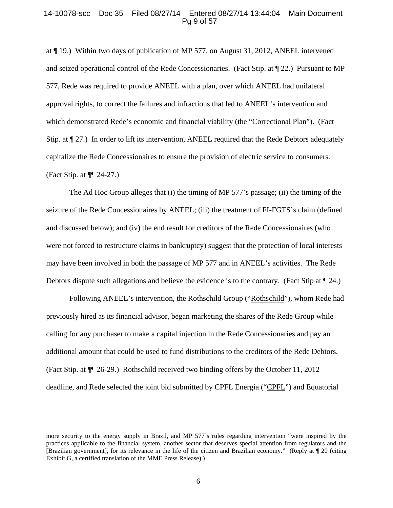#### 14-10078-scc Doc 35 Filed 08/27/14 Entered 08/27/14 13:44:04 Main Document Pg 9 of 57

at ¶ 19.) Within two days of publication of MP 577, on August 31, 2012, ANEEL intervened and seized operational control of the Rede Concessionaries. (Fact Stip. at ¶ 22.) Pursuant to MP 577, Rede was required to provide ANEEL with a plan, over which ANEEL had unilateral approval rights, to correct the failures and infractions that led to ANEEL's intervention and which demonstrated Rede's economic and financial viability (the "Correctional Plan"). (Fact Stip. at ¶ 27.) In order to lift its intervention, ANEEL required that the Rede Debtors adequately capitalize the Rede Concessionaires to ensure the provision of electric service to consumers. (Fact Stip. at ¶¶ 24-27.)

The Ad Hoc Group alleges that (i) the timing of MP 577's passage; (ii) the timing of the seizure of the Rede Concessionaires by ANEEL; (iii) the treatment of FI-FGTS's claim (defined and discussed below); and (iv) the end result for creditors of the Rede Concessionaires (who were not forced to restructure claims in bankruptcy) suggest that the protection of local interests may have been involved in both the passage of MP 577 and in ANEEL's activities. The Rede Debtors dispute such allegations and believe the evidence is to the contrary. (Fact Stip at  $\llbracket 24.$ )

Following ANEEL's intervention, the Rothschild Group ("Rothschild"), whom Rede had previously hired as its financial advisor, began marketing the shares of the Rede Group while calling for any purchaser to make a capital injection in the Rede Concessionaries and pay an additional amount that could be used to fund distributions to the creditors of the Rede Debtors. (Fact Stip. at ¶¶ 26-29.) Rothschild received two binding offers by the October 11, 2012 deadline, and Rede selected the joint bid submitted by CPFL Energia ("CPFL") and Equatorial

<u> 1989 - Johann Stein, marwolaethau a gweledydd a ganlad y ganlad y ganlad y ganlad y ganlad y ganlad y ganlad</u>

more security to the energy supply in Brazil, and MP 577's rules regarding intervention "were inspired by the practices applicable to the financial system, another sector that deserves special attention from regulators and the [Brazilian government], for its relevance in the life of the citizen and Brazilian economy." (Reply at ¶ 20 (citing Exhibit G, a certified translation of the MME Press Release).)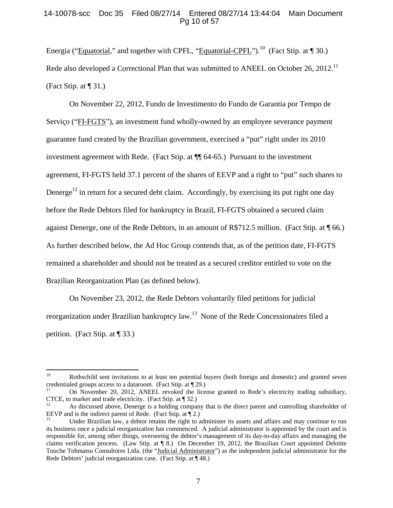## 14-10078-scc Doc 35 Filed 08/27/14 Entered 08/27/14 13:44:04 Main Document Pg 10 of 57

Energia ("Equatorial," and together with CPFL, "Equatorial-CPFL").<sup>10</sup> (Fact Stip. at  $\P$  30.) Rede also developed a Correctional Plan that was submitted to ANEEL on October 26, 2012.<sup>11</sup> (Fact Stip. at ¶ 31.)

On November 22, 2012, Fundo de Investimento do Fundo de Garantia por Tempo de Serviço ("FI-FGTS"), an investment fund wholly-owned by an employee severance payment guarantee fund created by the Brazilian government, exercised a "put" right under its 2010 investment agreement with Rede. (Fact Stip. at ¶¶ 64-65.) Pursuant to the investment agreement, FI-FGTS held 37.1 percent of the shares of EEVP and a right to "put" such shares to Denerge<sup>12</sup> in return for a secured debt claim. Accordingly, by exercising its put right one day before the Rede Debtors filed for bankruptcy in Brazil, FI-FGTS obtained a secured claim against Denerge, one of the Rede Debtors, in an amount of R\$712.5 million. (Fact Stip. at ¶ 66.) As further described below, the Ad Hoc Group contends that, as of the petition date, FI-FGTS remained a shareholder and should not be treated as a secured creditor entitled to vote on the Brazilian Reorganization Plan (as defined below).

On November 23, 2012, the Rede Debtors voluntarily filed petitions for judicial reorganization under Brazilian bankruptcy law.13 None of the Rede Concessionaires filed a petition. (Fact Stip. at ¶ 33.)

<sup>&</sup>lt;sup>10</sup> Rothschild sent invitations to at least ten potential buyers (both foreign and domestic) and granted seven credentialed groups access to a dataroom. (Fact Stip. at  $\P$  29.)

<sup>11</sup> On November 20, 2012, ANEEL revoked the license granted to Rede's electricity trading subsidiary, CTCE, to market and trade electricity. (Fact Stip. at  $\P$  32.)<br><sup>12</sup> As discussed above, Denerge is a holding company that is the direct parent and controlling shareholder of

EEVP and is the indirect parent of Rede. (Fact Stip. at  $\P$  2.)<br><sup>13</sup> Under Brazilian law, a debtor retains the right to administer its assets and affairs and may continue to run

its business once a judicial reorganization has commenced. A judicial administrator is appointed by the court and is responsible for, among other things, overseeing the debtor's management of its day-to-day affairs and managing the claims verification process. (Law Stip. at ¶ 8.) On December 19, 2012, the Brazilian Court appointed Deloitte Touche Tohmatsu Consultores Ltda. (the "Judicial Administrator") as the independent judicial administrator for the Rede Debtors' judicial reorganization case. (Fact Stip. at ¶ 48.)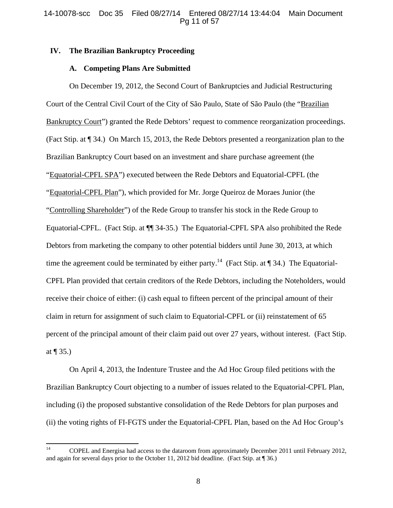## **IV. The Brazilian Bankruptcy Proceeding**

### **A. Competing Plans Are Submitted**

On December 19, 2012, the Second Court of Bankruptcies and Judicial Restructuring Court of the Central Civil Court of the City of São Paulo, State of São Paulo (the "Brazilian Bankruptcy Court") granted the Rede Debtors' request to commence reorganization proceedings. (Fact Stip. at ¶ 34.) On March 15, 2013, the Rede Debtors presented a reorganization plan to the Brazilian Bankruptcy Court based on an investment and share purchase agreement (the "Equatorial-CPFL SPA") executed between the Rede Debtors and Equatorial-CPFL (the "Equatorial-CPFL Plan"), which provided for Mr. Jorge Queiroz de Moraes Junior (the "Controlling Shareholder") of the Rede Group to transfer his stock in the Rede Group to Equatorial-CPFL. (Fact Stip. at ¶¶ 34-35.) The Equatorial-CPFL SPA also prohibited the Rede Debtors from marketing the company to other potential bidders until June 30, 2013, at which time the agreement could be terminated by either party.<sup>14</sup> (Fact Stip. at  $\P$  34.) The Equatorial-CPFL Plan provided that certain creditors of the Rede Debtors, including the Noteholders, would receive their choice of either: (i) cash equal to fifteen percent of the principal amount of their claim in return for assignment of such claim to Equatorial-CPFL or (ii) reinstatement of 65 percent of the principal amount of their claim paid out over 27 years, without interest. (Fact Stip. at  $\P$  35.)

On April 4, 2013, the Indenture Trustee and the Ad Hoc Group filed petitions with the Brazilian Bankruptcy Court objecting to a number of issues related to the Equatorial-CPFL Plan, including (i) the proposed substantive consolidation of the Rede Debtors for plan purposes and (ii) the voting rights of FI-FGTS under the Equatorial-CPFL Plan, based on the Ad Hoc Group's

<sup>&</sup>lt;sup>14</sup> COPEL and Energisa had access to the dataroom from approximately December 2011 until February 2012, and again for several days prior to the October 11, 2012 bid deadline. (Fact Stip. at ¶ 36.)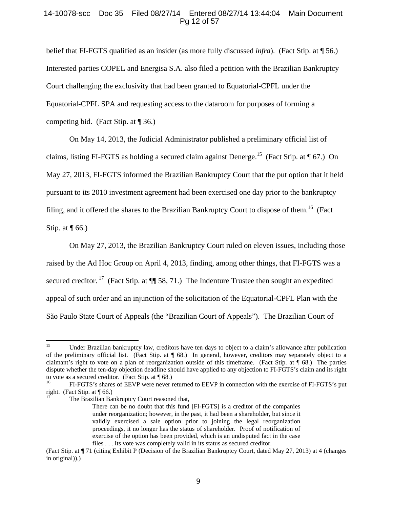## 14-10078-scc Doc 35 Filed 08/27/14 Entered 08/27/14 13:44:04 Main Document Pg 12 of 57

belief that FI-FGTS qualified as an insider (as more fully discussed *infra*). (Fact Stip. at ¶ 56.) Interested parties COPEL and Energisa S.A. also filed a petition with the Brazilian Bankruptcy Court challenging the exclusivity that had been granted to Equatorial-CPFL under the Equatorial-CPFL SPA and requesting access to the dataroom for purposes of forming a competing bid. (Fact Stip. at  $\P$  36.)

On May 14, 2013, the Judicial Administrator published a preliminary official list of claims, listing FI-FGTS as holding a secured claim against Denerge.<sup>15</sup> (Fact Stip. at  $\P$  67.) On May 27, 2013, FI-FGTS informed the Brazilian Bankruptcy Court that the put option that it held pursuant to its 2010 investment agreement had been exercised one day prior to the bankruptcy filing, and it offered the shares to the Brazilian Bankruptcy Court to dispose of them.<sup>16</sup> (Fact Stip. at  $\P$  66.)

On May 27, 2013, the Brazilian Bankruptcy Court ruled on eleven issues, including those raised by the Ad Hoc Group on April 4, 2013, finding, among other things, that FI-FGTS was a secured creditor.<sup>17</sup> (Fact Stip. at  $\P$  58, 71.) The Indenture Trustee then sought an expedited appeal of such order and an injunction of the solicitation of the Equatorial-CPFL Plan with the São Paulo State Court of Appeals (the "Brazilian Court of Appeals"). The Brazilian Court of

<sup>&</sup>lt;sup>15</sup> Under Brazilian bankruptcy law, creditors have ten days to object to a claim's allowance after publication of the preliminary official list. (Fact Stip. at ¶ 68.) In general, however, creditors may separately object to a claimant's right to vote on a plan of reorganization outside of this timeframe. (Fact Stip. at ¶ 68.) The parties dispute whether the ten-day objection deadline should have applied to any objection to FI-FGTS's claim and its right to vote as a secured creditor. (Fact Stip. at  $\P$  68.)<br><sup>16</sup>

<sup>16</sup> FI-FGTS's shares of EEVP were never returned to EEVP in connection with the exercise of FI-FGTS's put right. (Fact Stip. at ¶ 66.)

The Brazilian Bankruptcy Court reasoned that,

There can be no doubt that this fund [FI-FGTS] is a creditor of the companies under reorganization; however, in the past, it had been a shareholder, but since it validly exercised a sale option prior to joining the legal reorganization proceedings, it no longer has the status of shareholder. Proof of notification of exercise of the option has been provided, which is an undisputed fact in the case files . . . Its vote was completely valid in its status as secured creditor.

<sup>(</sup>Fact Stip. at ¶ 71 (citing Exhibit P (Decision of the Brazilian Bankruptcy Court, dated May 27, 2013) at 4 (changes in original)).)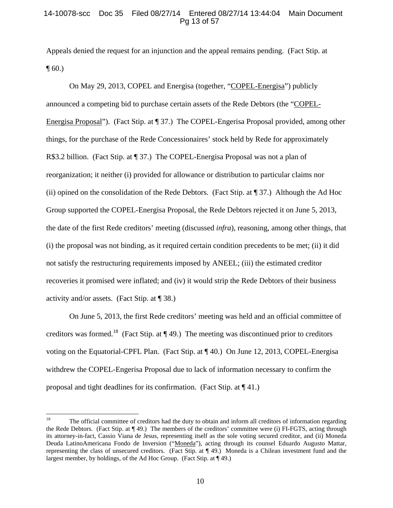## 14-10078-scc Doc 35 Filed 08/27/14 Entered 08/27/14 13:44:04 Main Document Pg 13 of 57

Appeals denied the request for an injunction and the appeal remains pending. (Fact Stip. at  $\P$  60.)

On May 29, 2013, COPEL and Energisa (together, "COPEL-Energisa") publicly announced a competing bid to purchase certain assets of the Rede Debtors (the "COPEL-Energisa Proposal"). (Fact Stip. at ¶ 37.) The COPEL-Engerisa Proposal provided, among other things, for the purchase of the Rede Concessionaires' stock held by Rede for approximately R\$3.2 billion. (Fact Stip. at ¶ 37.) The COPEL-Energisa Proposal was not a plan of reorganization; it neither (i) provided for allowance or distribution to particular claims nor (ii) opined on the consolidation of the Rede Debtors. (Fact Stip. at ¶ 37.) Although the Ad Hoc Group supported the COPEL-Energisa Proposal, the Rede Debtors rejected it on June 5, 2013, the date of the first Rede creditors' meeting (discussed *infra*), reasoning, among other things, that (i) the proposal was not binding, as it required certain condition precedents to be met; (ii) it did not satisfy the restructuring requirements imposed by ANEEL; (iii) the estimated creditor recoveries it promised were inflated; and (iv) it would strip the Rede Debtors of their business activity and/or assets. (Fact Stip. at ¶ 38.)

On June 5, 2013, the first Rede creditors' meeting was held and an official committee of creditors was formed.<sup>18</sup> (Fact Stip. at  $\P$  49.) The meeting was discontinued prior to creditors voting on the Equatorial-CPFL Plan. (Fact Stip. at ¶ 40.) On June 12, 2013, COPEL-Energisa withdrew the COPEL-Engerisa Proposal due to lack of information necessary to confirm the proposal and tight deadlines for its confirmation. (Fact Stip. at ¶ 41.)

<sup>&</sup>lt;sup>18</sup> The official committee of creditors had the duty to obtain and inform all creditors of information regarding the Rede Debtors. (Fact Stip. at ¶ 49.) The members of the creditors' committee were (i) FI-FGTS, acting through its attorney-in-fact, Cassio Viana de Jesus, representing itself as the sole voting secured creditor, and (ii) Moneda Deuda LatinoAmericana Fondo de Inversion ("Moneda"), acting through its counsel Eduardo Augusto Mattar, representing the class of unsecured creditors. (Fact Stip. at ¶ 49.) Moneda is a Chilean investment fund and the largest member, by holdings, of the Ad Hoc Group. (Fact Stip. at ¶ 49.)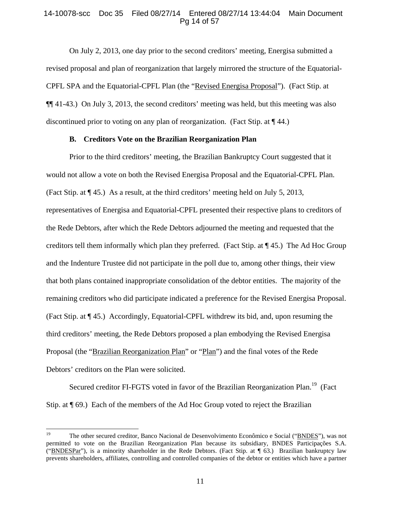## 14-10078-scc Doc 35 Filed 08/27/14 Entered 08/27/14 13:44:04 Main Document Pg 14 of 57

On July 2, 2013, one day prior to the second creditors' meeting, Energisa submitted a revised proposal and plan of reorganization that largely mirrored the structure of the Equatorial-CPFL SPA and the Equatorial-CPFL Plan (the "Revised Energisa Proposal"). (Fact Stip. at ¶¶ 41-43.) On July 3, 2013, the second creditors' meeting was held, but this meeting was also discontinued prior to voting on any plan of reorganization. (Fact Stip. at  $\P$  44.)

#### **B. Creditors Vote on the Brazilian Reorganization Plan**

Prior to the third creditors' meeting, the Brazilian Bankruptcy Court suggested that it would not allow a vote on both the Revised Energisa Proposal and the Equatorial-CPFL Plan. (Fact Stip. at ¶ 45.) As a result, at the third creditors' meeting held on July 5, 2013, representatives of Energisa and Equatorial-CPFL presented their respective plans to creditors of the Rede Debtors, after which the Rede Debtors adjourned the meeting and requested that the creditors tell them informally which plan they preferred. (Fact Stip. at ¶ 45.) The Ad Hoc Group and the Indenture Trustee did not participate in the poll due to, among other things, their view that both plans contained inappropriate consolidation of the debtor entities. The majority of the remaining creditors who did participate indicated a preference for the Revised Energisa Proposal. (Fact Stip. at ¶ 45.) Accordingly, Equatorial-CPFL withdrew its bid, and, upon resuming the third creditors' meeting, the Rede Debtors proposed a plan embodying the Revised Energisa Proposal (the "Brazilian Reorganization Plan" or "Plan") and the final votes of the Rede Debtors' creditors on the Plan were solicited.

Secured creditor FI-FGTS voted in favor of the Brazilian Reorganization Plan.<sup>19</sup> (Fact Stip. at ¶ 69.) Each of the members of the Ad Hoc Group voted to reject the Brazilian

<sup>19</sup> The other secured creditor, Banco Nacional de Desenvolvimento Econômico e Social ("BNDES"), was not permitted to vote on the Brazilian Reorganization Plan because its subsidiary, BNDES Participações S.A. ("BNDESPar"), is a minority shareholder in the Rede Debtors. (Fact Stip. at ¶ 63.) Brazilian bankruptcy law prevents shareholders, affiliates, controlling and controlled companies of the debtor or entities which have a partner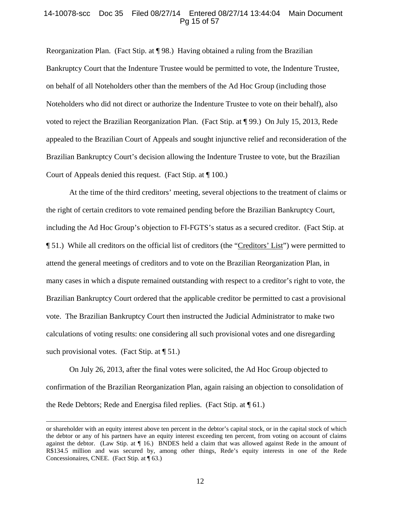#### 14-10078-scc Doc 35 Filed 08/27/14 Entered 08/27/14 13:44:04 Main Document Pg 15 of 57

Reorganization Plan. (Fact Stip. at ¶ 98.) Having obtained a ruling from the Brazilian Bankruptcy Court that the Indenture Trustee would be permitted to vote, the Indenture Trustee, on behalf of all Noteholders other than the members of the Ad Hoc Group (including those Noteholders who did not direct or authorize the Indenture Trustee to vote on their behalf), also voted to reject the Brazilian Reorganization Plan. (Fact Stip. at ¶ 99.) On July 15, 2013, Rede appealed to the Brazilian Court of Appeals and sought injunctive relief and reconsideration of the Brazilian Bankruptcy Court's decision allowing the Indenture Trustee to vote, but the Brazilian Court of Appeals denied this request. (Fact Stip. at ¶ 100.)

At the time of the third creditors' meeting, several objections to the treatment of claims or the right of certain creditors to vote remained pending before the Brazilian Bankruptcy Court, including the Ad Hoc Group's objection to FI-FGTS's status as a secured creditor. (Fact Stip. at ¶ 51.) While all creditors on the official list of creditors (the "Creditors' List") were permitted to attend the general meetings of creditors and to vote on the Brazilian Reorganization Plan, in many cases in which a dispute remained outstanding with respect to a creditor's right to vote, the Brazilian Bankruptcy Court ordered that the applicable creditor be permitted to cast a provisional vote. The Brazilian Bankruptcy Court then instructed the Judicial Administrator to make two calculations of voting results: one considering all such provisional votes and one disregarding such provisional votes. (Fact Stip. at  $\P$  51.)

On July 26, 2013, after the final votes were solicited, the Ad Hoc Group objected to confirmation of the Brazilian Reorganization Plan, again raising an objection to consolidation of the Rede Debtors; Rede and Energisa filed replies. (Fact Stip. at ¶ 61.)

<u> 1989 - Johann Stoff, amerikansk politiker (d. 1989)</u>

or shareholder with an equity interest above ten percent in the debtor's capital stock, or in the capital stock of which the debtor or any of his partners have an equity interest exceeding ten percent, from voting on account of claims against the debtor. (Law Stip. at ¶ 16.) BNDES held a claim that was allowed against Rede in the amount of R\$134.5 million and was secured by, among other things, Rede's equity interests in one of the Rede Concessionaires, CNEE. (Fact Stip. at ¶ 63.)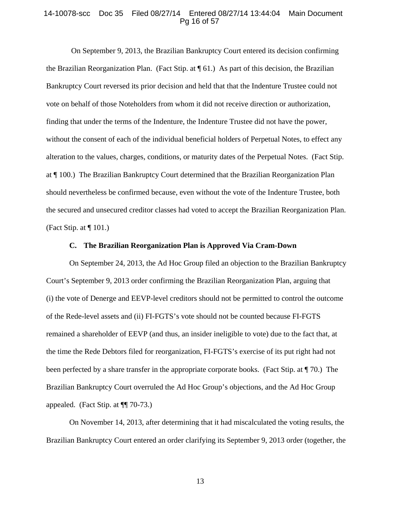#### 14-10078-scc Doc 35 Filed 08/27/14 Entered 08/27/14 13:44:04 Main Document Pg 16 of 57

 On September 9, 2013, the Brazilian Bankruptcy Court entered its decision confirming the Brazilian Reorganization Plan. (Fact Stip. at ¶ 61.) As part of this decision, the Brazilian Bankruptcy Court reversed its prior decision and held that that the Indenture Trustee could not vote on behalf of those Noteholders from whom it did not receive direction or authorization, finding that under the terms of the Indenture, the Indenture Trustee did not have the power, without the consent of each of the individual beneficial holders of Perpetual Notes, to effect any alteration to the values, charges, conditions, or maturity dates of the Perpetual Notes. (Fact Stip. at ¶ 100.) The Brazilian Bankruptcy Court determined that the Brazilian Reorganization Plan should nevertheless be confirmed because, even without the vote of the Indenture Trustee, both the secured and unsecured creditor classes had voted to accept the Brazilian Reorganization Plan. (Fact Stip. at  $\P$  101.)

#### **C. The Brazilian Reorganization Plan is Approved Via Cram-Down**

On September 24, 2013, the Ad Hoc Group filed an objection to the Brazilian Bankruptcy Court's September 9, 2013 order confirming the Brazilian Reorganization Plan, arguing that (i) the vote of Denerge and EEVP-level creditors should not be permitted to control the outcome of the Rede-level assets and (ii) FI-FGTS's vote should not be counted because FI-FGTS remained a shareholder of EEVP (and thus, an insider ineligible to vote) due to the fact that, at the time the Rede Debtors filed for reorganization, FI-FGTS's exercise of its put right had not been perfected by a share transfer in the appropriate corporate books. (Fact Stip. at ¶ 70.) The Brazilian Bankruptcy Court overruled the Ad Hoc Group's objections, and the Ad Hoc Group appealed. (Fact Stip. at ¶¶ 70-73.)

On November 14, 2013, after determining that it had miscalculated the voting results, the Brazilian Bankruptcy Court entered an order clarifying its September 9, 2013 order (together, the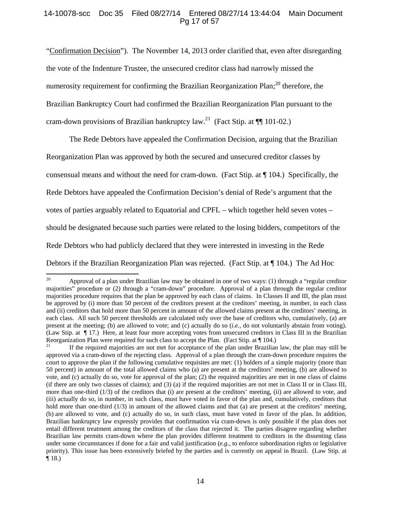## 14-10078-scc Doc 35 Filed 08/27/14 Entered 08/27/14 13:44:04 Main Document Pg 17 of 57

"Confirmation Decision"). The November 14, 2013 order clarified that, even after disregarding the vote of the Indenture Trustee, the unsecured creditor class had narrowly missed the numerosity requirement for confirming the Brazilian Reorganization Plan; $^{20}$  therefore, the Brazilian Bankruptcy Court had confirmed the Brazilian Reorganization Plan pursuant to the cram-down provisions of Brazilian bankruptcy law.<sup>21</sup> (Fact Stip. at  $\P$  101-02.)

The Rede Debtors have appealed the Confirmation Decision, arguing that the Brazilian Reorganization Plan was approved by both the secured and unsecured creditor classes by consensual means and without the need for cram-down. (Fact Stip. at ¶ 104.) Specifically, the Rede Debtors have appealed the Confirmation Decision's denial of Rede's argument that the votes of parties arguably related to Equatorial and CPFL – which together held seven votes – should be designated because such parties were related to the losing bidders, competitors of the Rede Debtors who had publicly declared that they were interested in investing in the Rede Debtors if the Brazilian Reorganization Plan was rejected. (Fact Stip. at ¶ 104.) The Ad Hoc

 <sup>20</sup> Approval of a plan under Brazilian law may be obtained in one of two ways: (1) through a "regular creditor majorities" procedure or (2) through a "cram-down" procedure. Approval of a plan through the regular creditor majorities procedure requires that the plan be approved by each class of claims. In Classes II and III, the plan must be approved by (i) more than 50 percent of the creditors present at the creditors' meeting, in number, in each class and (ii) creditors that hold more than 50 percent in amount of the allowed claims present at the creditors' meeting, in each class. All such 50 percent thresholds are calculated only over the base of creditors who, cumulatively, (a) are present at the meeting; (b) are allowed to vote; and (c) actually do so (*i.e.,* do not voluntarily abstain from voting). (Law Stip. at ¶ 17.) Here, at least four more accepting votes from unsecured creditors in Class III in the Brazilian Reorganization Plan were required for such class to accept the Plan. (Fact Stip. at  $\P$  104.)<br><sup>21</sup> If the required majorities are not met for acceptance of the plan under Brazilian law, the plan may still be

approved via a cram-down of the rejecting class. Approval of a plan through the cram-down procedure requires the court to approve the plan if the following cumulative requisites are met: (1) holders of a simple majority (more than 50 percent) in amount of the total allowed claims who (a) are present at the creditors' meeting, (b) are allowed to vote, and (c) actually do so, vote for approval of the plan; (2) the required majorities are met in one class of claims (if there are only two classes of claims); and (3) (a) if the required majorities are not met in Class II or in Class III, more than one-third (1/3) of the creditors that (i) are present at the creditors' meeting, (ii) are allowed to vote, and (iii) actually do so, in number, in such class, must have voted in favor of the plan and, cumulatively, creditors that hold more than one-third (1/3) in amount of the allowed claims and that (a) are present at the creditors' meeting, (b) are allowed to vote, and (c) actually do so, in such class, must have voted in favor of the plan. In addition, Brazilian bankruptcy law expressly provides that confirmation via cram-down is only possible if the plan does not entail different treatment among the creditors of the class that rejected it. The parties disagree regarding whether Brazilian law permits cram-down where the plan provides different treatment to creditors in the dissenting class under some circumstances if done for a fair and valid justification (*e.g.*, to enforce subordination rights or legislative priority). This issue has been extensively briefed by the parties and is currently on appeal in Brazil. (Law Stip. at  $\P$  18.)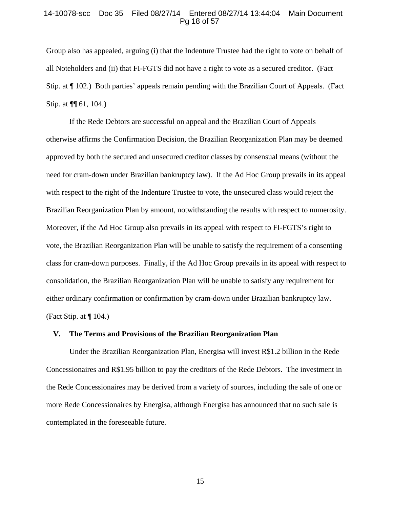## 14-10078-scc Doc 35 Filed 08/27/14 Entered 08/27/14 13:44:04 Main Document Pg 18 of 57

Group also has appealed, arguing (i) that the Indenture Trustee had the right to vote on behalf of all Noteholders and (ii) that FI-FGTS did not have a right to vote as a secured creditor. (Fact Stip. at ¶ 102.) Both parties' appeals remain pending with the Brazilian Court of Appeals. (Fact Stip. at ¶¶ 61, 104.)

If the Rede Debtors are successful on appeal and the Brazilian Court of Appeals otherwise affirms the Confirmation Decision, the Brazilian Reorganization Plan may be deemed approved by both the secured and unsecured creditor classes by consensual means (without the need for cram-down under Brazilian bankruptcy law). If the Ad Hoc Group prevails in its appeal with respect to the right of the Indenture Trustee to vote, the unsecured class would reject the Brazilian Reorganization Plan by amount, notwithstanding the results with respect to numerosity. Moreover, if the Ad Hoc Group also prevails in its appeal with respect to FI-FGTS's right to vote, the Brazilian Reorganization Plan will be unable to satisfy the requirement of a consenting class for cram-down purposes. Finally, if the Ad Hoc Group prevails in its appeal with respect to consolidation, the Brazilian Reorganization Plan will be unable to satisfy any requirement for either ordinary confirmation or confirmation by cram-down under Brazilian bankruptcy law. (Fact Stip. at  $\P$  104.)

#### **V. The Terms and Provisions of the Brazilian Reorganization Plan**

Under the Brazilian Reorganization Plan, Energisa will invest R\$1.2 billion in the Rede Concessionaires and R\$1.95 billion to pay the creditors of the Rede Debtors. The investment in the Rede Concessionaires may be derived from a variety of sources, including the sale of one or more Rede Concessionaires by Energisa, although Energisa has announced that no such sale is contemplated in the foreseeable future.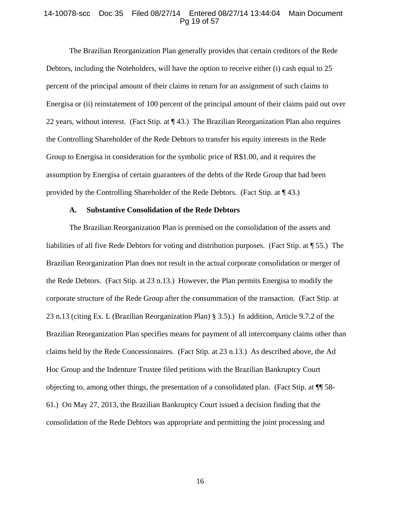### 14-10078-scc Doc 35 Filed 08/27/14 Entered 08/27/14 13:44:04 Main Document Pg 19 of 57

The Brazilian Reorganization Plan generally provides that certain creditors of the Rede Debtors, including the Noteholders, will have the option to receive either (i) cash equal to 25 percent of the principal amount of their claims in return for an assignment of such claims to Energisa or (ii) reinstatement of 100 percent of the principal amount of their claims paid out over 22 years, without interest. (Fact Stip. at  $\P$  43.) The Brazilian Reorganization Plan also requires the Controlling Shareholder of the Rede Debtors to transfer his equity interests in the Rede Group to Energisa in consideration for the symbolic price of R\$1.00, and it requires the assumption by Energisa of certain guarantees of the debts of the Rede Group that had been provided by the Controlling Shareholder of the Rede Debtors. (Fact Stip. at ¶ 43.)

#### **A. Substantive Consolidation of the Rede Debtors**

The Brazilian Reorganization Plan is premised on the consolidation of the assets and liabilities of all five Rede Debtors for voting and distribution purposes. (Fact Stip. at ¶ 55.) The Brazilian Reorganization Plan does not result in the actual corporate consolidation or merger of the Rede Debtors. (Fact Stip. at 23 n.13.) However, the Plan permits Energisa to modify the corporate structure of the Rede Group after the consummation of the transaction. (Fact Stip. at 23 n.13 (citing Ex. L (Brazilian Reorganization Plan) § 3.5).) In addition, Article 9.7.2 of the Brazilian Reorganization Plan specifies means for payment of all intercompany claims other than claims held by the Rede Concessionaires. (Fact Stip. at 23 n.13.) As described above, the Ad Hoc Group and the Indenture Trustee filed petitions with the Brazilian Bankruptcy Court objecting to, among other things, the presentation of a consolidated plan. (Fact Stip. at ¶¶ 58- 61.) On May 27, 2013, the Brazilian Bankruptcy Court issued a decision finding that the consolidation of the Rede Debtors was appropriate and permitting the joint processing and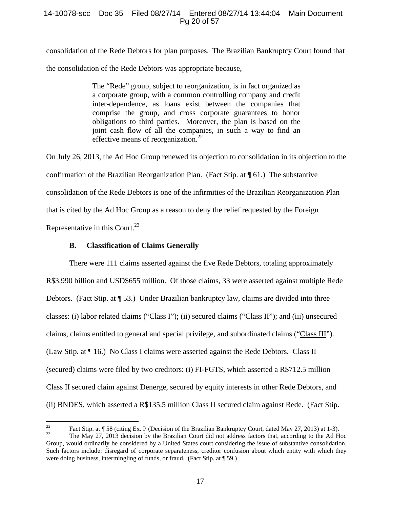# 14-10078-scc Doc 35 Filed 08/27/14 Entered 08/27/14 13:44:04 Main Document Pg 20 of 57

consolidation of the Rede Debtors for plan purposes. The Brazilian Bankruptcy Court found that the consolidation of the Rede Debtors was appropriate because,

> The "Rede" group, subject to reorganization, is in fact organized as a corporate group, with a common controlling company and credit inter-dependence, as loans exist between the companies that comprise the group, and cross corporate guarantees to honor obligations to third parties. Moreover, the plan is based on the joint cash flow of all the companies, in such a way to find an effective means of reorganization.<sup>22</sup>

On July 26, 2013, the Ad Hoc Group renewed its objection to consolidation in its objection to the confirmation of the Brazilian Reorganization Plan. (Fact Stip. at  $\P$  61.) The substantive consolidation of the Rede Debtors is one of the infirmities of the Brazilian Reorganization Plan that is cited by the Ad Hoc Group as a reason to deny the relief requested by the Foreign Representative in this Court.<sup>23</sup>

# **B. Classification of Claims Generally**

There were 111 claims asserted against the five Rede Debtors, totaling approximately R\$3.990 billion and USD\$655 million. Of those claims, 33 were asserted against multiple Rede Debtors. (Fact Stip. at ¶ 53.) Under Brazilian bankruptcy law, claims are divided into three classes: (i) labor related claims ("Class I"); (ii) secured claims ("Class II"); and (iii) unsecured claims, claims entitled to general and special privilege, and subordinated claims ("Class III"). (Law Stip. at ¶ 16.) No Class I claims were asserted against the Rede Debtors. Class II (secured) claims were filed by two creditors: (i) FI-FGTS, which asserted a R\$712.5 million Class II secured claim against Denerge, secured by equity interests in other Rede Debtors, and (ii) BNDES, which asserted a R\$135.5 million Class II secured claim against Rede. (Fact Stip.

<sup>&</sup>lt;sup>22</sup> Fact Stip. at ¶ 58 (citing Ex. P (Decision of the Brazilian Bankruptcy Court, dated May 27, 2013) at 1-3).<br><sup>23</sup> The May 27, 2013 decision by the Brazilian Court did not address factors that, according to the Ad Hoc

Group, would ordinarily be considered by a United States court considering the issue of substantive consolidation. Such factors include: disregard of corporate separateness, creditor confusion about which entity with which they were doing business, intermingling of funds, or fraud. (Fact Stip. at ¶ 59.)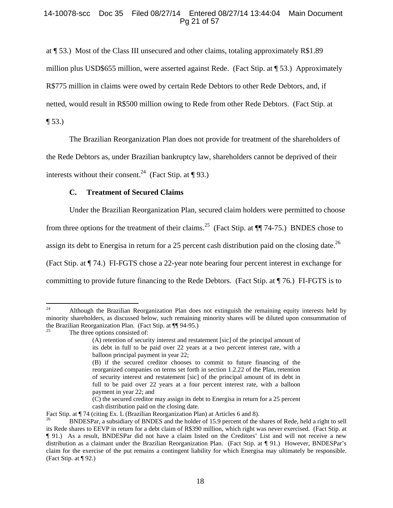# 14-10078-scc Doc 35 Filed 08/27/14 Entered 08/27/14 13:44:04 Main Document Pg 21 of 57

at ¶ 53.) Most of the Class III unsecured and other claims, totaling approximately R\$1.89 million plus USD\$655 million, were asserted against Rede. (Fact Stip. at ¶ 53.) Approximately R\$775 million in claims were owed by certain Rede Debtors to other Rede Debtors, and, if netted, would result in R\$500 million owing to Rede from other Rede Debtors. (Fact Stip. at

 $\P 53.$ 

The Brazilian Reorganization Plan does not provide for treatment of the shareholders of

the Rede Debtors as, under Brazilian bankruptcy law, shareholders cannot be deprived of their

interests without their consent.<sup>24</sup> (Fact Stip. at  $\P$  93.)

# **C. Treatment of Secured Claims**

Under the Brazilian Reorganization Plan, secured claim holders were permitted to choose from three options for the treatment of their claims.<sup>25</sup> (Fact Stip. at  $\P$  74-75.) BNDES chose to assign its debt to Energisa in return for a 25 percent cash distribution paid on the closing date.<sup>26</sup> (Fact Stip. at ¶ 74.) FI-FGTS chose a 22-year note bearing four percent interest in exchange for committing to provide future financing to the Rede Debtors. (Fact Stip. at ¶ 76.) FI-FGTS is to

 <sup>24</sup> Although the Brazilian Reorganization Plan does not extinguish the remaining equity interests held by minority shareholders, as discussed below, such remaining minority shares will be diluted upon consummation of the Brazilian Reorganization Plan. (Fact Stip. at  $\P$  94-95.)

The three options consisted of:

<sup>(</sup>A) retention of security interest and restatement [sic] of the principal amount of its debt in full to be paid over 22 years at a two percent interest rate, with a balloon principal payment in year 22;

<sup>(</sup>B) if the secured creditor chooses to commit to future financing of the reorganized companies on terms set forth in section 1.2.22 of the Plan, retention of security interest and restatement [sic] of the principal amount of its debt in full to be paid over 22 years at a four percent interest rate, with a balloon payment in year 22; and

<sup>(</sup>C) the secured creditor may assign its debt to Energisa in return for a 25 percent cash distribution paid on the closing date.

Fact Stip. at ¶ 74 (citing Ex. L (Brazilian Reorganization Plan) at Articles 6 and 8).

<sup>26</sup> BNDESPar, a subsidiary of BNDES and the holder of 15.9 percent of the shares of Rede, held a right to sell its Rede shares to EEVP in return for a debt claim of R\$390 million, which right was never exercised. (Fact Stip. at ¶ 91.) As a result, BNDESPar did not have a claim listed on the Creditors' List and will not receive a new distribution as a claimant under the Brazilian Reorganization Plan. (Fact Stip. at ¶ 91.) However, BNDESPar's claim for the exercise of the put remains a contingent liability for which Energisa may ultimately be responsible. (Fact Stip. at ¶ 92.)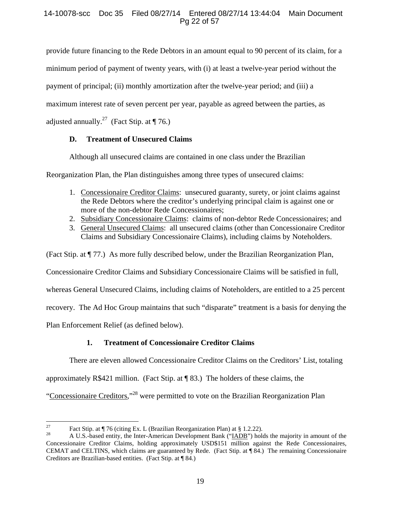# 14-10078-scc Doc 35 Filed 08/27/14 Entered 08/27/14 13:44:04 Main Document Pg 22 of 57

provide future financing to the Rede Debtors in an amount equal to 90 percent of its claim, for a

minimum period of payment of twenty years, with (i) at least a twelve-year period without the

payment of principal; (ii) monthly amortization after the twelve-year period; and (iii) a

maximum interest rate of seven percent per year, payable as agreed between the parties, as

adjusted annually.<sup>27</sup> (Fact Stip. at  $\P$  76.)

# **D. Treatment of Unsecured Claims**

Although all unsecured claims are contained in one class under the Brazilian

Reorganization Plan, the Plan distinguishes among three types of unsecured claims:

- 1. Concessionaire Creditor Claims: unsecured guaranty, surety, or joint claims against the Rede Debtors where the creditor's underlying principal claim is against one or more of the non-debtor Rede Concessionaires;
- 2. Subsidiary Concessionaire Claims: claims of non-debtor Rede Concessionaires; and
- 3. General Unsecured Claims: all unsecured claims (other than Concessionaire Creditor Claims and Subsidiary Concessionaire Claims), including claims by Noteholders.

(Fact Stip. at ¶ 77.) As more fully described below, under the Brazilian Reorganization Plan,

Concessionaire Creditor Claims and Subsidiary Concessionaire Claims will be satisfied in full,

whereas General Unsecured Claims, including claims of Noteholders, are entitled to a 25 percent

recovery. The Ad Hoc Group maintains that such "disparate" treatment is a basis for denying the

Plan Enforcement Relief (as defined below).

# **1. Treatment of Concessionaire Creditor Claims**

There are eleven allowed Concessionaire Creditor Claims on the Creditors' List, totaling

approximately R\$421 million. (Fact Stip. at ¶ 83.) The holders of these claims, the

"Concessionaire Creditors,"28 were permitted to vote on the Brazilian Reorganization Plan

<sup>&</sup>lt;sup>27</sup> Fact Stip. at  $\P$  76 (citing Ex. L (Brazilian Reorganization Plan) at § 1.2.22).

<sup>28</sup> A U.S.-based entity, the Inter-American Development Bank ("IADB") holds the majority in amount of the Concessionaire Creditor Claims, holding approximately USD\$151 million against the Rede Concessionaires, CEMAT and CELTINS, which claims are guaranteed by Rede. (Fact Stip. at ¶ 84.) The remaining Concessionaire Creditors are Brazilian-based entities. (Fact Stip. at ¶ 84.)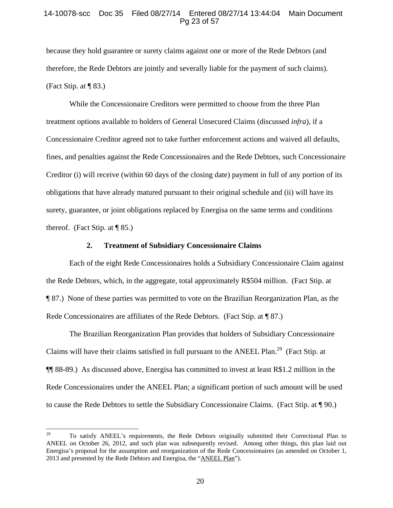### 14-10078-scc Doc 35 Filed 08/27/14 Entered 08/27/14 13:44:04 Main Document Pg 23 of 57

because they hold guarantee or surety claims against one or more of the Rede Debtors (and therefore, the Rede Debtors are jointly and severally liable for the payment of such claims). (Fact Stip. at  $\P$  83.)

While the Concessionaire Creditors were permitted to choose from the three Plan treatment options available to holders of General Unsecured Claims (discussed *infra*), if a Concessionaire Creditor agreed not to take further enforcement actions and waived all defaults, fines, and penalties against the Rede Concessionaires and the Rede Debtors, such Concessionaire Creditor (i) will receive (within 60 days of the closing date) payment in full of any portion of its obligations that have already matured pursuant to their original schedule and (ii) will have its surety, guarantee, or joint obligations replaced by Energisa on the same terms and conditions thereof. (Fact Stip. at  $\P$  85.)

#### **2. Treatment of Subsidiary Concessionaire Claims**

Each of the eight Rede Concessionaires holds a Subsidiary Concessionaire Claim against the Rede Debtors, which, in the aggregate, total approximately R\$504 million. (Fact Stip. at ¶ 87.) None of these parties was permitted to vote on the Brazilian Reorganization Plan, as the Rede Concessionaires are affiliates of the Rede Debtors. (Fact Stip. at ¶ 87.)

The Brazilian Reorganization Plan provides that holders of Subsidiary Concessionaire Claims will have their claims satisfied in full pursuant to the ANEEL Plan.<sup>29</sup> (Fact Stip. at ¶¶ 88-89.) As discussed above, Energisa has committed to invest at least R\$1.2 million in the Rede Concessionaires under the ANEEL Plan; a significant portion of such amount will be used to cause the Rede Debtors to settle the Subsidiary Concessionaire Claims. (Fact Stip. at ¶ 90.)

<sup>&</sup>lt;sup>29</sup> To satisfy ANEEL's requirements, the Rede Debtors originally submitted their Correctional Plan to ANEEL on October 26, 2012, and such plan was subsequently revised. Among other things, this plan laid out Energisa's proposal for the assumption and reorganization of the Rede Concessionaires (as amended on October 1, 2013 and presented by the Rede Debtors and Energisa, the "ANEEL Plan").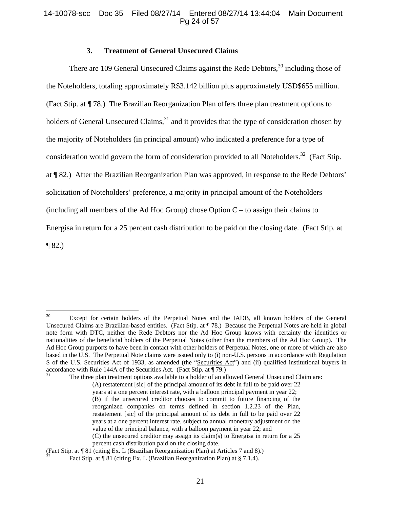## 14-10078-scc Doc 35 Filed 08/27/14 Entered 08/27/14 13:44:04 Main Document Pg 24 of 57

### **3. Treatment of General Unsecured Claims**

There are 109 General Unsecured Claims against the Rede Debtors, $30$  including those of the Noteholders, totaling approximately R\$3.142 billion plus approximately USD\$655 million. (Fact Stip. at ¶ 78.) The Brazilian Reorganization Plan offers three plan treatment options to holders of General Unsecured Claims, $31$  and it provides that the type of consideration chosen by the majority of Noteholders (in principal amount) who indicated a preference for a type of consideration would govern the form of consideration provided to all Noteholders.<sup>32</sup> (Fact Stip. at ¶ 82.) After the Brazilian Reorganization Plan was approved, in response to the Rede Debtors' solicitation of Noteholders' preference, a majority in principal amount of the Noteholders (including all members of the Ad Hoc Group) chose Option  $C - t_0$  assign their claims to Energisa in return for a 25 percent cash distribution to be paid on the closing date. (Fact Stip. at  $\P$  82.)

# (Fact Stip. at ¶ 81 (citing Ex. L (Brazilian Reorganization Plan) at Articles 7 and 8).)

<sup>&</sup>lt;sup>30</sup> Except for certain holders of the Perpetual Notes and the IADB, all known holders of the General Unsecured Claims are Brazilian-based entities. (Fact Stip. at ¶ 78.) Because the Perpetual Notes are held in global note form with DTC, neither the Rede Debtors nor the Ad Hoc Group knows with certainty the identities or nationalities of the beneficial holders of the Perpetual Notes (other than the members of the Ad Hoc Group). The Ad Hoc Group purports to have been in contact with other holders of Perpetual Notes, one or more of which are also based in the U.S. The Perpetual Note claims were issued only to (i) non-U.S. persons in accordance with Regulation S of the U.S. Securities Act of 1933, as amended (the "Securities Act") and (ii) qualified institutional buyers in accordance with Rule 144A of the Securities Act. (Fact Stip. at ¶ 79.)<br>The three plan treatment options available to a holder of an allowed General Unsecured Claim are:

<sup>(</sup>A) restatement [sic] of the principal amount of its debt in full to be paid over 22 years at a one percent interest rate, with a balloon principal payment in year 22; (B) if the unsecured creditor chooses to commit to future financing of the reorganized companies on terms defined in section 1.2.23 of the Plan, restatement [sic] of the principal amount of its debt in full to be paid over 22 years at a one percent interest rate, subject to annual monetary adjustment on the value of the principal balance, with a balloon payment in year 22; and (C) the unsecured creditor may assign its claim(s) to Energisa in return for a 25 percent cash distribution paid on the closing date.

Fact Stip. at ¶ 81 (citing Ex. L (Brazilian Reorganization Plan) at § 7.1.4).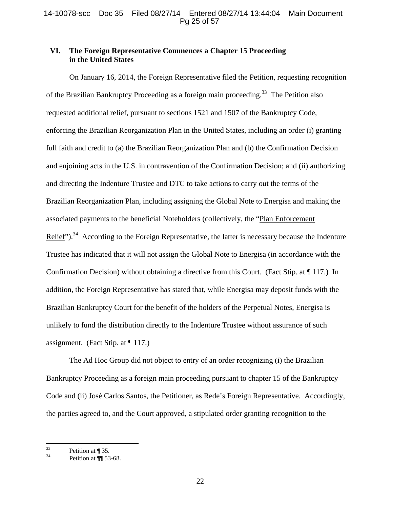# **VI. The Foreign Representative Commences a Chapter 15 Proceeding in the United States**

On January 16, 2014, the Foreign Representative filed the Petition, requesting recognition of the Brazilian Bankruptcy Proceeding as a foreign main proceeding.<sup>33</sup> The Petition also requested additional relief, pursuant to sections 1521 and 1507 of the Bankruptcy Code, enforcing the Brazilian Reorganization Plan in the United States, including an order (i) granting full faith and credit to (a) the Brazilian Reorganization Plan and (b) the Confirmation Decision and enjoining acts in the U.S. in contravention of the Confirmation Decision; and (ii) authorizing and directing the Indenture Trustee and DTC to take actions to carry out the terms of the Brazilian Reorganization Plan, including assigning the Global Note to Energisa and making the associated payments to the beneficial Noteholders (collectively, the "Plan Enforcement Relief").<sup>34</sup> According to the Foreign Representative, the latter is necessary because the Indenture Trustee has indicated that it will not assign the Global Note to Energisa (in accordance with the Confirmation Decision) without obtaining a directive from this Court. (Fact Stip. at ¶ 117.) In addition, the Foreign Representative has stated that, while Energisa may deposit funds with the Brazilian Bankruptcy Court for the benefit of the holders of the Perpetual Notes, Energisa is unlikely to fund the distribution directly to the Indenture Trustee without assurance of such assignment. (Fact Stip. at  $\P$  117.)

The Ad Hoc Group did not object to entry of an order recognizing (i) the Brazilian Bankruptcy Proceeding as a foreign main proceeding pursuant to chapter 15 of the Bankruptcy Code and (ii) José Carlos Santos, the Petitioner, as Rede's Foreign Representative. Accordingly, the parties agreed to, and the Court approved, a stipulated order granting recognition to the

 $33$  Petition at ¶ 35.

Petition at ¶[ 53-68.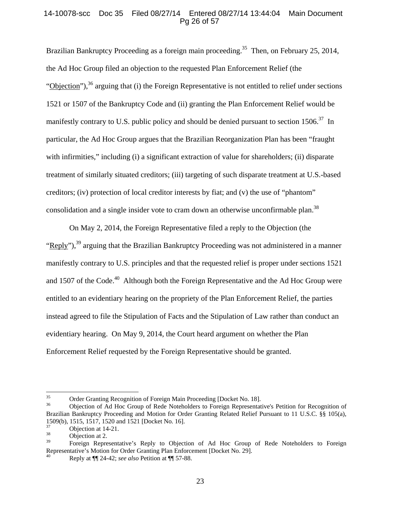# 14-10078-scc Doc 35 Filed 08/27/14 Entered 08/27/14 13:44:04 Main Document Pg 26 of 57

Brazilian Bankruptcy Proceeding as a foreign main proceeding.<sup>35</sup> Then, on February 25, 2014, the Ad Hoc Group filed an objection to the requested Plan Enforcement Relief (the "Objection"),  $36$  arguing that (i) the Foreign Representative is not entitled to relief under sections 1521 or 1507 of the Bankruptcy Code and (ii) granting the Plan Enforcement Relief would be manifestly contrary to U.S. public policy and should be denied pursuant to section  $1506^{37}$  In particular, the Ad Hoc Group argues that the Brazilian Reorganization Plan has been "fraught with infirmities," including (i) a significant extraction of value for shareholders; (ii) disparate treatment of similarly situated creditors; (iii) targeting of such disparate treatment at U.S.-based creditors; (iv) protection of local creditor interests by fiat; and (v) the use of "phantom" consolidation and a single insider vote to cram down an otherwise unconfirmable plan.<sup>38</sup>

On May 2, 2014, the Foreign Representative filed a reply to the Objection (the "Reply"), $^{39}$  arguing that the Brazilian Bankruptcy Proceeding was not administered in a manner manifestly contrary to U.S. principles and that the requested relief is proper under sections 1521 and 1507 of the Code.<sup>40</sup> Although both the Foreign Representative and the Ad Hoc Group were entitled to an evidentiary hearing on the propriety of the Plan Enforcement Relief, the parties instead agreed to file the Stipulation of Facts and the Stipulation of Law rather than conduct an evidentiary hearing. On May 9, 2014, the Court heard argument on whether the Plan Enforcement Relief requested by the Foreign Representative should be granted.

<sup>&</sup>lt;sup>35</sup> Order Granting Recognition of Foreign Main Proceeding [Docket No. 18].<br>
Objection of Ad Hoc Group of Rede Notebolders to Foreign Penresentation

<sup>36</sup> Objection of Ad Hoc Group of Rede Noteholders to Foreign Representative's Petition for Recognition of Brazilian Bankruptcy Proceeding and Motion for Order Granting Related Relief Pursuant to 11 U.S.C. §§ 105(a), 1509(b), 1515, 1517, 1520 and 1521 [Docket No. 16].

 $\frac{37}{38}$  Objection at 14-21.

 $\frac{38}{39}$  Objection at 2.

<sup>39</sup> Foreign Representative's Reply to Objection of Ad Hoc Group of Rede Noteholders to Foreign Representative's Motion for Order Granting Plan Enforcement [Docket No. 29].

<sup>40</sup> Reply at ¶¶ 24-42; *see also* Petition at ¶¶ 57-88.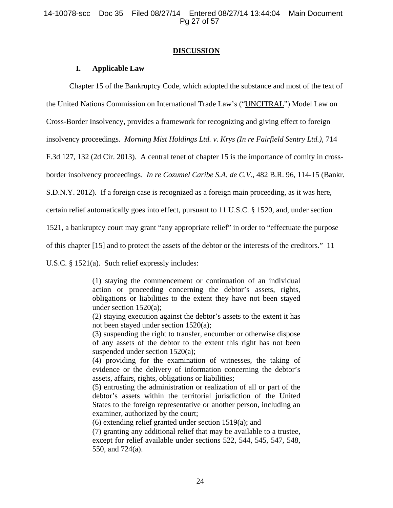14-10078-scc Doc 35 Filed 08/27/14 Entered 08/27/14 13:44:04 Main Document Pg 27 of 57

#### **DISCUSSION**

#### **I. Applicable Law**

Chapter 15 of the Bankruptcy Code, which adopted the substance and most of the text of

the United Nations Commission on International Trade Law's ("UNCITRAL") Model Law on

Cross-Border Insolvency, provides a framework for recognizing and giving effect to foreign

insolvency proceedings. *Morning Mist Holdings Ltd. v. Krys (In re Fairfield Sentry Ltd.)*, 714

F.3d 127, 132 (2d Cir. 2013). A central tenet of chapter 15 is the importance of comity in cross-

border insolvency proceedings. *In re Cozumel Caribe S.A. de C.V.*, 482 B.R. 96, 114-15 (Bankr.

S.D.N.Y. 2012). If a foreign case is recognized as a foreign main proceeding, as it was here,

certain relief automatically goes into effect, pursuant to 11 U.S.C. § 1520, and, under section

1521, a bankruptcy court may grant "any appropriate relief" in order to "effectuate the purpose

of this chapter [15] and to protect the assets of the debtor or the interests of the creditors." 11

U.S.C. § 1521(a). Such relief expressly includes:

(1) staying the commencement or continuation of an individual action or proceeding concerning the debtor's assets, rights, obligations or liabilities to the extent they have not been stayed under section 1520(a);

(2) staying execution against the debtor's assets to the extent it has not been stayed under section 1520(a);

(3) suspending the right to transfer, encumber or otherwise dispose of any assets of the debtor to the extent this right has not been suspended under section 1520(a);

(4) providing for the examination of witnesses, the taking of evidence or the delivery of information concerning the debtor's assets, affairs, rights, obligations or liabilities;

(5) entrusting the administration or realization of all or part of the debtor's assets within the territorial jurisdiction of the United States to the foreign representative or another person, including an examiner, authorized by the court;

(6) extending relief granted under section 1519(a); and

(7) granting any additional relief that may be available to a trustee, except for relief available under sections 522, 544, 545, 547, 548, 550, and 724(a).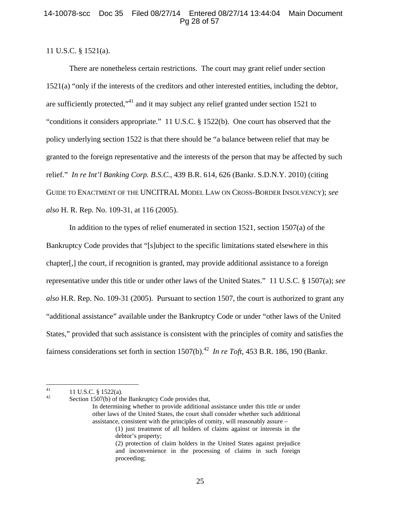# 14-10078-scc Doc 35 Filed 08/27/14 Entered 08/27/14 13:44:04 Main Document Pg 28 of 57

# 11 U.S.C. § 1521(a).

There are nonetheless certain restrictions. The court may grant relief under section 1521(a) "only if the interests of the creditors and other interested entities, including the debtor, are sufficiently protected,"41 and it may subject any relief granted under section 1521 to "conditions it considers appropriate." 11 U.S.C. § 1522(b). One court has observed that the policy underlying section 1522 is that there should be "a balance between relief that may be granted to the foreign representative and the interests of the person that may be affected by such relief." *In re Int'l Banking Corp. B.S.C.*, 439 B.R. 614, 626 (Bankr. S.D.N.Y. 2010) (citing GUIDE TO ENACTMENT OF THE UNCITRAL MODEL LAW ON CROSS-BORDER INSOLVENCY); *see also* H. R. Rep. No. 109-31, at 116 (2005).

In addition to the types of relief enumerated in section 1521, section 1507(a) of the Bankruptcy Code provides that "[s]ubject to the specific limitations stated elsewhere in this chapter[,] the court, if recognition is granted, may provide additional assistance to a foreign representative under this title or under other laws of the United States." 11 U.S.C. § 1507(a); *see also* H.R. Rep. No. 109-31 (2005). Pursuant to section 1507, the court is authorized to grant any "additional assistance" available under the Bankruptcy Code or under "other laws of the United States," provided that such assistance is consistent with the principles of comity and satisfies the fairness considerations set forth in section  $1507(b)$ .<sup>42</sup> *In re Toft*, 453 B.R. 186, 190 (Bankr.)

 $^{41}_{42}$  11 U.S.C. § 1522(a).

Section 1507(b) of the Bankruptcy Code provides that,

In determining whether to provide additional assistance under this title or under other laws of the United States, the court shall consider whether such additional assistance, consistent with the principles of comity, will reasonably assure –

<sup>(1)</sup> just treatment of all holders of claims against or interests in the debtor's property;

<sup>(2)</sup> protection of claim holders in the United States against prejudice and inconvenience in the processing of claims in such foreign proceeding;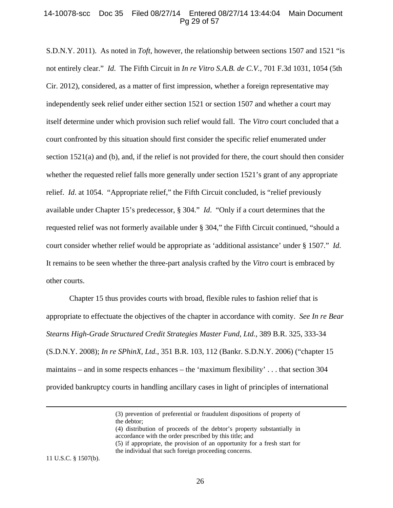## 14-10078-scc Doc 35 Filed 08/27/14 Entered 08/27/14 13:44:04 Main Document Pg 29 of 57

S.D.N.Y. 2011). As noted in *Toft*, however, the relationship between sections 1507 and 1521 "is not entirely clear." *Id*. The Fifth Circuit in *In re Vitro S.A.B. de C.V.*, 701 F.3d 1031, 1054 (5th Cir. 2012), considered, as a matter of first impression, whether a foreign representative may independently seek relief under either section 1521 or section 1507 and whether a court may itself determine under which provision such relief would fall. The *Vitro* court concluded that a court confronted by this situation should first consider the specific relief enumerated under section 1521(a) and (b), and, if the relief is not provided for there, the court should then consider whether the requested relief falls more generally under section 1521's grant of any appropriate relief. *Id*. at 1054. "Appropriate relief," the Fifth Circuit concluded, is "relief previously available under Chapter 15's predecessor, § 304." *Id*. "Only if a court determines that the requested relief was not formerly available under § 304," the Fifth Circuit continued, "should a court consider whether relief would be appropriate as 'additional assistance' under § 1507." *Id*. It remains to be seen whether the three-part analysis crafted by the *Vitro* court is embraced by other courts.

Chapter 15 thus provides courts with broad, flexible rules to fashion relief that is appropriate to effectuate the objectives of the chapter in accordance with comity. *See In re Bear Stearns High-Grade Structured Credit Strategies Master Fund, Ltd.*, 389 B.R. 325, 333-34 (S.D.N.Y. 2008); *In re SPhinX, Ltd.*, 351 B.R. 103, 112 (Bankr. S.D.N.Y. 2006) ("chapter 15 maintains – and in some respects enhances – the 'maximum flexibility' . . . that section 304 provided bankruptcy courts in handling ancillary cases in light of principles of international

<u> 1989 - Johann Stein, marwolaethau a gweledydd a ganlad y ganlad y ganlad y ganlad y ganlad y ganlad y ganlad</u>

(4) distribution of proceeds of the debtor's property substantially in accordance with the order prescribed by this title; and (5) if appropriate, the provision of an opportunity for a fresh start for the individual that such foreign proceeding concerns.

11 U.S.C. § 1507(b).

<sup>(3)</sup> prevention of preferential or fraudulent dispositions of property of the debtor;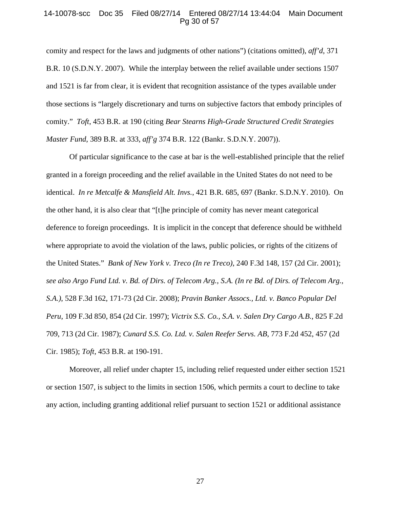#### 14-10078-scc Doc 35 Filed 08/27/14 Entered 08/27/14 13:44:04 Main Document Pg 30 of 57

comity and respect for the laws and judgments of other nations") (citations omitted), *aff'd*, 371 B.R. 10 (S.D.N.Y. 2007). While the interplay between the relief available under sections 1507 and 1521 is far from clear, it is evident that recognition assistance of the types available under those sections is "largely discretionary and turns on subjective factors that embody principles of comity." *Toft*, 453 B.R. at 190 (citing *Bear Stearns High-Grade Structured Credit Strategies Master Fund*, 389 B.R. at 333, *aff'g* 374 B.R. 122 (Bankr. S.D.N.Y. 2007)).

Of particular significance to the case at bar is the well-established principle that the relief granted in a foreign proceeding and the relief available in the United States do not need to be identical. *In re Metcalfe & Mansfield Alt. Invs.*, 421 B.R. 685, 697 (Bankr. S.D.N.Y. 2010). On the other hand, it is also clear that "[t]he principle of comity has never meant categorical deference to foreign proceedings. It is implicit in the concept that deference should be withheld where appropriate to avoid the violation of the laws, public policies, or rights of the citizens of the United States." *Bank of New York v. Treco (In re Treco)*, 240 F.3d 148, 157 (2d Cir. 2001); *see also Argo Fund Ltd. v. Bd. of Dirs. of Telecom Arg., S.A. (In re Bd. of Dirs. of Telecom Arg., S.A.)*, 528 F.3d 162, 171-73 (2d Cir. 2008); *Pravin Banker Assocs., Ltd. v. Banco Popular Del Peru*, 109 F.3d 850, 854 (2d Cir. 1997); *Victrix S.S. Co., S.A. v. Salen Dry Cargo A.B.*, 825 F.2d 709, 713 (2d Cir. 1987); *Cunard S.S. Co. Ltd. v. Salen Reefer Servs. AB*, 773 F.2d 452, 457 (2d Cir. 1985); *Toft*, 453 B.R. at 190-191.

Moreover, all relief under chapter 15, including relief requested under either section 1521 or section 1507, is subject to the limits in section 1506, which permits a court to decline to take any action, including granting additional relief pursuant to section 1521 or additional assistance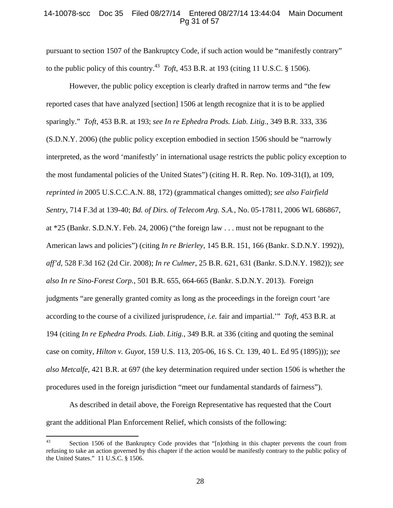## 14-10078-scc Doc 35 Filed 08/27/14 Entered 08/27/14 13:44:04 Main Document Pg 31 of 57

pursuant to section 1507 of the Bankruptcy Code, if such action would be "manifestly contrary" to the public policy of this country.<sup>43</sup> *Toft*, 453 B.R. at 193 (citing 11 U.S.C. § 1506).

However, the public policy exception is clearly drafted in narrow terms and "the few reported cases that have analyzed [section] 1506 at length recognize that it is to be applied sparingly." *Toft*, 453 B.R. at 193; *see In re Ephedra Prods. Liab. Litig.*, 349 B.R. 333, 336 (S.D.N.Y. 2006) (the public policy exception embodied in section 1506 should be "narrowly interpreted, as the word 'manifestly' in international usage restricts the public policy exception to the most fundamental policies of the United States") (citing H. R. Rep. No. 109-31(I), at 109, *reprinted in* 2005 U.S.C.C.A.N. 88, 172) (grammatical changes omitted); *see also Fairfield Sentry*, 714 F.3d at 139-40; *Bd. of Dirs. of Telecom Arg. S.A.*, No. 05-17811, 2006 WL 686867, at \*25 (Bankr. S.D.N.Y. Feb. 24, 2006) ("the foreign law . . . must not be repugnant to the American laws and policies") (citing *In re Brierley*, 145 B.R. 151, 166 (Bankr. S.D.N.Y. 1992)), *aff'd*, 528 F.3d 162 (2d Cir. 2008); *In re Culmer*, 25 B.R. 621, 631 (Bankr. S.D.N.Y. 1982)); *see also In re Sino-Forest Corp.*, 501 B.R. 655, 664-665 (Bankr. S.D.N.Y. 2013). Foreign judgments "are generally granted comity as long as the proceedings in the foreign court 'are according to the course of a civilized jurisprudence, *i.e.* fair and impartial.'" *Toft*, 453 B.R. at 194 (citing *In re Ephedra Prods. Liab. Litig.*, 349 B.R. at 336 (citing and quoting the seminal case on comity, *Hilton v. Guyot*, 159 U.S. 113, 205-06, 16 S. Ct. 139, 40 L. Ed 95 (1895))); *see also Metcalfe*, 421 B.R. at 697 (the key determination required under section 1506 is whether the procedures used in the foreign jurisdiction "meet our fundamental standards of fairness").

As described in detail above, the Foreign Representative has requested that the Court grant the additional Plan Enforcement Relief, which consists of the following:

<sup>&</sup>lt;sup>43</sup> Section 1506 of the Bankruptcy Code provides that "[n]othing in this chapter prevents the court from refusing to take an action governed by this chapter if the action would be manifestly contrary to the public policy of the United States." 11 U.S.C. § 1506.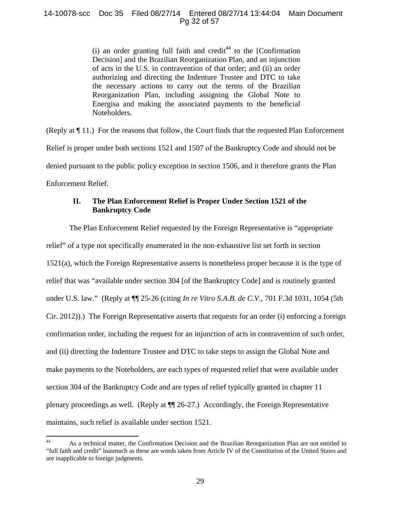14-10078-scc Doc 35 Filed 08/27/14 Entered 08/27/14 13:44:04 Main Document Pg 32 of 57

> (i) an order granting full faith and credit $44$  to the [Confirmation Decision] and the Brazilian Reorganization Plan, and an injunction of acts in the U.S. in contravention of that order; and (ii) an order authorizing and directing the Indenture Trustee and DTC to take the necessary actions to carry out the terms of the Brazilian Reorganization Plan, including assigning the Global Note to Energisa and making the associated payments to the beneficial Noteholders.

(Reply at ¶ 11.) For the reasons that follow, the Court finds that the requested Plan Enforcement Relief is proper under both sections 1521 and 1507 of the Bankruptcy Code and should not be denied pursuant to the public policy exception in section 1506, and it therefore grants the Plan Enforcement Relief.

# **II. The Plan Enforcement Relief is Proper Under Section 1521 of the Bankruptcy Code**

The Plan Enforcement Relief requested by the Foreign Representative is "appropriate relief" of a type not specifically enumerated in the non-exhaustive list set forth in section 1521(a), which the Foreign Representative asserts is nonetheless proper because it is the type of relief that was "available under section 304 [of the Bankruptcy Code] and is routinely granted under U.S. law." (Reply at ¶¶ 25-26 (citing *In re Vitro S.A.B. de C.V.*, 701 F.3d 1031, 1054 (5th Cir. 2012)).) The Foreign Representative asserts that requests for an order (i) enforcing a foreign confirmation order, including the request for an injunction of acts in contravention of such order, and (ii) directing the Indenture Trustee and DTC to take steps to assign the Global Note and make payments to the Noteholders, are each types of requested relief that were available under section 304 of the Bankruptcy Code and are types of relief typically granted in chapter 11 plenary proceedings as well. (Reply at ¶¶ 26-27.) Accordingly, the Foreign Representative maintains, such relief is available under section 1521.

<sup>44</sup> As a technical matter, the Confirmation Decision and the Brazilian Reorganization Plan are not entitled to "full faith and credit" inasmuch as these are words taken from Article IV of the Constitution of the United States and are inapplicable to foreign judgments.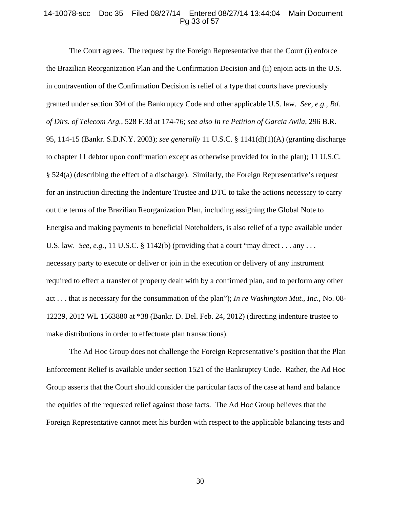### 14-10078-scc Doc 35 Filed 08/27/14 Entered 08/27/14 13:44:04 Main Document Pg 33 of 57

The Court agrees. The request by the Foreign Representative that the Court (i) enforce the Brazilian Reorganization Plan and the Confirmation Decision and (ii) enjoin acts in the U.S. in contravention of the Confirmation Decision is relief of a type that courts have previously granted under section 304 of the Bankruptcy Code and other applicable U.S. law. *See, e.g., Bd. of Dirs. of Telecom Arg.*, 528 F.3d at 174-76; *see also In re Petition of Garcia Avila*, 296 B.R. 95, 114-15 (Bankr. S.D.N.Y. 2003); *see generally* 11 U.S.C. § 1141(d)(1)(A) (granting discharge to chapter 11 debtor upon confirmation except as otherwise provided for in the plan); 11 U.S.C. § 524(a) (describing the effect of a discharge). Similarly, the Foreign Representative's request for an instruction directing the Indenture Trustee and DTC to take the actions necessary to carry out the terms of the Brazilian Reorganization Plan, including assigning the Global Note to Energisa and making payments to beneficial Noteholders, is also relief of a type available under U.S. law. *See, e.g.,* 11 U.S.C. § 1142(b) (providing that a court "may direct . . . any . . . necessary party to execute or deliver or join in the execution or delivery of any instrument required to effect a transfer of property dealt with by a confirmed plan, and to perform any other act . . . that is necessary for the consummation of the plan"); *In re Washington Mut., Inc.*, No. 08- 12229, 2012 WL 1563880 at \*38 (Bankr. D. Del. Feb. 24, 2012) (directing indenture trustee to make distributions in order to effectuate plan transactions).

The Ad Hoc Group does not challenge the Foreign Representative's position that the Plan Enforcement Relief is available under section 1521 of the Bankruptcy Code. Rather, the Ad Hoc Group asserts that the Court should consider the particular facts of the case at hand and balance the equities of the requested relief against those facts. The Ad Hoc Group believes that the Foreign Representative cannot meet his burden with respect to the applicable balancing tests and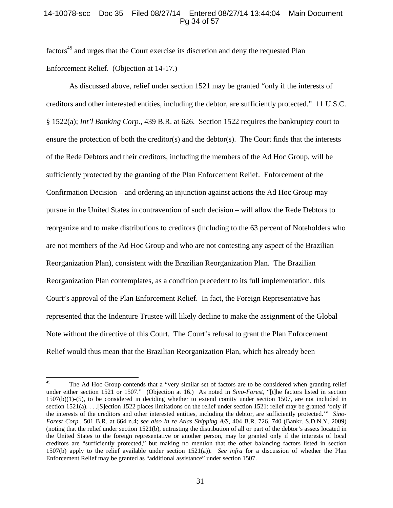## 14-10078-scc Doc 35 Filed 08/27/14 Entered 08/27/14 13:44:04 Main Document Pg 34 of 57

factors<sup>45</sup> and urges that the Court exercise its discretion and deny the requested Plan Enforcement Relief. (Objection at 14-17.)

As discussed above, relief under section 1521 may be granted "only if the interests of creditors and other interested entities, including the debtor, are sufficiently protected." 11 U.S.C. § 1522(a); *Int'l Banking Corp.*, 439 B.R. at 626. Section 1522 requires the bankruptcy court to ensure the protection of both the creditor(s) and the debtor(s). The Court finds that the interests of the Rede Debtors and their creditors, including the members of the Ad Hoc Group, will be sufficiently protected by the granting of the Plan Enforcement Relief. Enforcement of the Confirmation Decision – and ordering an injunction against actions the Ad Hoc Group may pursue in the United States in contravention of such decision – will allow the Rede Debtors to reorganize and to make distributions to creditors (including to the 63 percent of Noteholders who are not members of the Ad Hoc Group and who are not contesting any aspect of the Brazilian Reorganization Plan), consistent with the Brazilian Reorganization Plan. The Brazilian Reorganization Plan contemplates, as a condition precedent to its full implementation, this Court's approval of the Plan Enforcement Relief. In fact, the Foreign Representative has represented that the Indenture Trustee will likely decline to make the assignment of the Global Note without the directive of this Court. The Court's refusal to grant the Plan Enforcement Relief would thus mean that the Brazilian Reorganization Plan, which has already been

<sup>&</sup>lt;sup>45</sup> The Ad Hoc Group contends that a "very similar set of factors are to be considered when granting relief under either section 1521 or 1507." (Objection at 16.) As noted in *Sino-Forest,* "[t]he factors listed in section  $1507(b)(1)-(5)$ , to be considered in deciding whether to extend comity under section 1507, are not included in section 1521(a). . . .[S]ection 1522 places limitations on the relief under section 1521: relief may be granted 'only if the interests of the creditors and other interested entities, including the debtor, are sufficiently protected.'" *Sino-Forest Corp.*, 501 B.R. at 664 n.4; *see also In re Atlas Shipping A/S*, 404 B.R. 726, 740 (Bankr. S.D.N.Y. 2009) (noting that the relief under section 1521(b), entrusting the distribution of all or part of the debtor's assets located in the United States to the foreign representative or another person, may be granted only if the interests of local creditors are "sufficiently protected," but making no mention that the other balancing factors listed in section 1507(b) apply to the relief available under section 1521(a)). *See infra* for a discussion of whether the Plan Enforcement Relief may be granted as "additional assistance" under section 1507.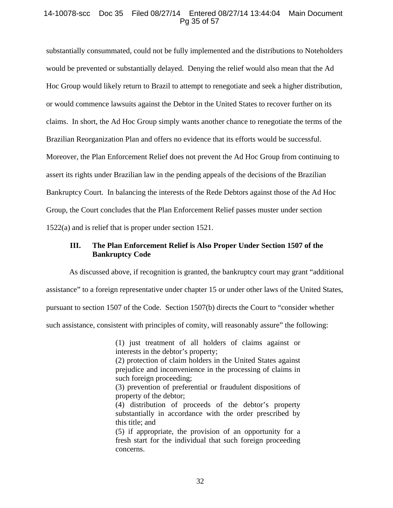## 14-10078-scc Doc 35 Filed 08/27/14 Entered 08/27/14 13:44:04 Main Document Pg 35 of 57

substantially consummated, could not be fully implemented and the distributions to Noteholders would be prevented or substantially delayed. Denying the relief would also mean that the Ad Hoc Group would likely return to Brazil to attempt to renegotiate and seek a higher distribution, or would commence lawsuits against the Debtor in the United States to recover further on its claims. In short, the Ad Hoc Group simply wants another chance to renegotiate the terms of the Brazilian Reorganization Plan and offers no evidence that its efforts would be successful. Moreover, the Plan Enforcement Relief does not prevent the Ad Hoc Group from continuing to assert its rights under Brazilian law in the pending appeals of the decisions of the Brazilian Bankruptcy Court. In balancing the interests of the Rede Debtors against those of the Ad Hoc Group, the Court concludes that the Plan Enforcement Relief passes muster under section 1522(a) and is relief that is proper under section 1521.

# **III. The Plan Enforcement Relief is Also Proper Under Section 1507 of the Bankruptcy Code**

As discussed above, if recognition is granted, the bankruptcy court may grant "additional

assistance" to a foreign representative under chapter 15 or under other laws of the United States,

pursuant to section 1507 of the Code. Section 1507(b) directs the Court to "consider whether

such assistance, consistent with principles of comity, will reasonably assure" the following:

(1) just treatment of all holders of claims against or interests in the debtor's property;

(2) protection of claim holders in the United States against prejudice and inconvenience in the processing of claims in such foreign proceeding;

(3) prevention of preferential or fraudulent dispositions of property of the debtor;

(4) distribution of proceeds of the debtor's property substantially in accordance with the order prescribed by this title; and

(5) if appropriate, the provision of an opportunity for a fresh start for the individual that such foreign proceeding concerns.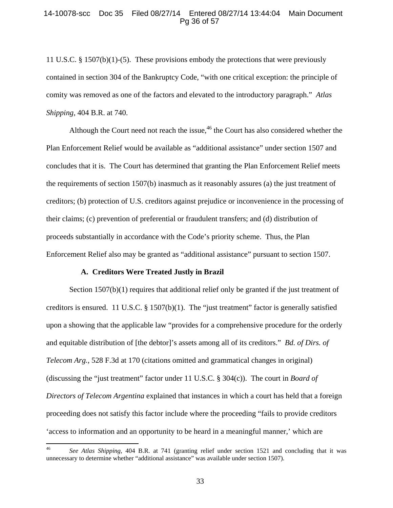#### 14-10078-scc Doc 35 Filed 08/27/14 Entered 08/27/14 13:44:04 Main Document Pg 36 of 57

11 U.S.C. § 1507(b)(1)-(5). These provisions embody the protections that were previously contained in section 304 of the Bankruptcy Code, "with one critical exception: the principle of comity was removed as one of the factors and elevated to the introductory paragraph." *Atlas Shipping*, 404 B.R. at 740.

Although the Court need not reach the issue,  $46$  the Court has also considered whether the Plan Enforcement Relief would be available as "additional assistance" under section 1507 and concludes that it is. The Court has determined that granting the Plan Enforcement Relief meets the requirements of section 1507(b) inasmuch as it reasonably assures (a) the just treatment of creditors; (b) protection of U.S. creditors against prejudice or inconvenience in the processing of their claims; (c) prevention of preferential or fraudulent transfers; and (d) distribution of proceeds substantially in accordance with the Code's priority scheme. Thus, the Plan Enforcement Relief also may be granted as "additional assistance" pursuant to section 1507.

## **A. Creditors Were Treated Justly in Brazil**

Section 1507(b)(1) requires that additional relief only be granted if the just treatment of creditors is ensured. 11 U.S.C. § 1507(b)(1). The "just treatment" factor is generally satisfied upon a showing that the applicable law "provides for a comprehensive procedure for the orderly and equitable distribution of [the debtor]'s assets among all of its creditors." *Bd. of Dirs. of Telecom Arg.*, 528 F.3d at 170 (citations omitted and grammatical changes in original) (discussing the "just treatment" factor under 11 U.S.C. § 304(c)). The court in *Board of Directors of Telecom Argentina* explained that instances in which a court has held that a foreign proceeding does not satisfy this factor include where the proceeding "fails to provide creditors 'access to information and an opportunity to be heard in a meaningful manner,' which are

<sup>46</sup> *See Atlas Shipping*, 404 B.R. at 741 (granting relief under section 1521 and concluding that it was unnecessary to determine whether "additional assistance" was available under section 1507).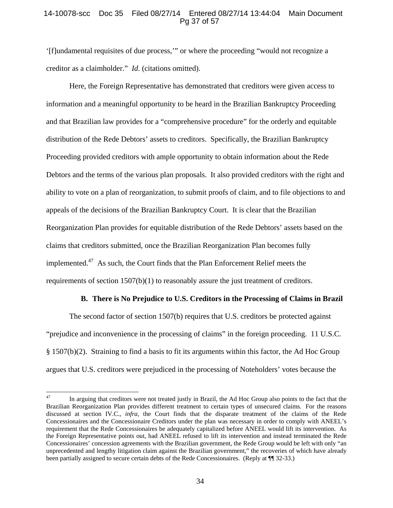# 14-10078-scc Doc 35 Filed 08/27/14 Entered 08/27/14 13:44:04 Main Document Pg 37 of 57

'[f]undamental requisites of due process,'" or where the proceeding "would not recognize a creditor as a claimholder." *Id*. (citations omitted).

Here, the Foreign Representative has demonstrated that creditors were given access to information and a meaningful opportunity to be heard in the Brazilian Bankruptcy Proceeding and that Brazilian law provides for a "comprehensive procedure" for the orderly and equitable distribution of the Rede Debtors' assets to creditors. Specifically, the Brazilian Bankruptcy Proceeding provided creditors with ample opportunity to obtain information about the Rede Debtors and the terms of the various plan proposals. It also provided creditors with the right and ability to vote on a plan of reorganization, to submit proofs of claim, and to file objections to and appeals of the decisions of the Brazilian Bankruptcy Court. It is clear that the Brazilian Reorganization Plan provides for equitable distribution of the Rede Debtors' assets based on the claims that creditors submitted, once the Brazilian Reorganization Plan becomes fully implemented.<sup>47</sup> As such, the Court finds that the Plan Enforcement Relief meets the requirements of section 1507(b)(1) to reasonably assure the just treatment of creditors.

## **B. There is No Prejudice to U.S. Creditors in the Processing of Claims in Brazil**

The second factor of section 1507(b) requires that U.S. creditors be protected against "prejudice and inconvenience in the processing of claims" in the foreign proceeding. 11 U.S.C. § 1507(b)(2). Straining to find a basis to fit its arguments within this factor, the Ad Hoc Group argues that U.S. creditors were prejudiced in the processing of Noteholders' votes because the

<sup>&</sup>lt;sup>47</sup> In arguing that creditors were not treated justly in Brazil, the Ad Hoc Group also points to the fact that the Brazilian Reorganization Plan provides different treatment to certain types of unsecured claims. For the reasons discussed at section IV.C., *infra*, the Court finds that the disparate treatment of the claims of the Rede Concessionaires and the Concessionaire Creditors under the plan was necessary in order to comply with ANEEL's requirement that the Rede Concessionaires be adequately capitalized before ANEEL would lift its intervention. As the Foreign Representative points out, had ANEEL refused to lift its intervention and instead terminated the Rede Concessionaires' concession agreements with the Brazilian government, the Rede Group would be left with only "an unprecedented and lengthy litigation claim against the Brazilian government," the recoveries of which have already been partially assigned to secure certain debts of the Rede Concessionaires. (Reply at ¶¶ 32-33.)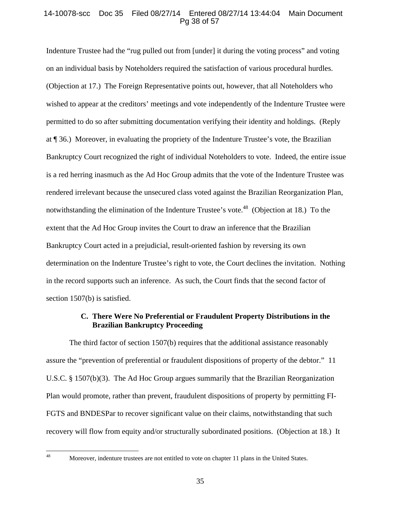# 14-10078-scc Doc 35 Filed 08/27/14 Entered 08/27/14 13:44:04 Main Document Pg 38 of 57

Indenture Trustee had the "rug pulled out from [under] it during the voting process" and voting on an individual basis by Noteholders required the satisfaction of various procedural hurdles. (Objection at 17.) The Foreign Representative points out, however, that all Noteholders who wished to appear at the creditors' meetings and vote independently of the Indenture Trustee were permitted to do so after submitting documentation verifying their identity and holdings. (Reply at ¶ 36.) Moreover, in evaluating the propriety of the Indenture Trustee's vote, the Brazilian Bankruptcy Court recognized the right of individual Noteholders to vote. Indeed, the entire issue is a red herring inasmuch as the Ad Hoc Group admits that the vote of the Indenture Trustee was rendered irrelevant because the unsecured class voted against the Brazilian Reorganization Plan, notwithstanding the elimination of the Indenture Trustee's vote.<sup>48</sup> (Objection at 18.) To the extent that the Ad Hoc Group invites the Court to draw an inference that the Brazilian Bankruptcy Court acted in a prejudicial, result-oriented fashion by reversing its own determination on the Indenture Trustee's right to vote, the Court declines the invitation. Nothing in the record supports such an inference. As such, the Court finds that the second factor of section 1507(b) is satisfied.

# **C. There Were No Preferential or Fraudulent Property Distributions in the Brazilian Bankruptcy Proceeding**

The third factor of section 1507(b) requires that the additional assistance reasonably assure the "prevention of preferential or fraudulent dispositions of property of the debtor." 11 U.S.C. § 1507(b)(3). The Ad Hoc Group argues summarily that the Brazilian Reorganization Plan would promote, rather than prevent, fraudulent dispositions of property by permitting FI-FGTS and BNDESPar to recover significant value on their claims, notwithstanding that such recovery will flow from equity and/or structurally subordinated positions. (Objection at 18.) It

<sup>&</sup>lt;sup>48</sup> Moreover, indenture trustees are not entitled to vote on chapter 11 plans in the United States.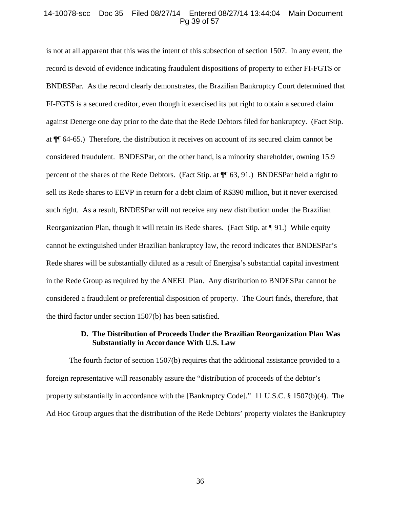#### 14-10078-scc Doc 35 Filed 08/27/14 Entered 08/27/14 13:44:04 Main Document Pg 39 of 57

is not at all apparent that this was the intent of this subsection of section 1507. In any event, the record is devoid of evidence indicating fraudulent dispositions of property to either FI-FGTS or BNDESPar. As the record clearly demonstrates, the Brazilian Bankruptcy Court determined that FI-FGTS is a secured creditor, even though it exercised its put right to obtain a secured claim against Denerge one day prior to the date that the Rede Debtors filed for bankruptcy. (Fact Stip. at ¶¶ 64-65.) Therefore, the distribution it receives on account of its secured claim cannot be considered fraudulent. BNDESPar, on the other hand, is a minority shareholder, owning 15.9 percent of the shares of the Rede Debtors. (Fact Stip. at ¶¶ 63, 91.) BNDESPar held a right to sell its Rede shares to EEVP in return for a debt claim of R\$390 million, but it never exercised such right. As a result, BNDESPar will not receive any new distribution under the Brazilian Reorganization Plan, though it will retain its Rede shares. (Fact Stip. at ¶ 91.) While equity cannot be extinguished under Brazilian bankruptcy law, the record indicates that BNDESPar's Rede shares will be substantially diluted as a result of Energisa's substantial capital investment in the Rede Group as required by the ANEEL Plan. Any distribution to BNDESPar cannot be considered a fraudulent or preferential disposition of property. The Court finds, therefore, that the third factor under section 1507(b) has been satisfied.

# **D. The Distribution of Proceeds Under the Brazilian Reorganization Plan Was Substantially in Accordance With U.S. Law**

The fourth factor of section 1507(b) requires that the additional assistance provided to a foreign representative will reasonably assure the "distribution of proceeds of the debtor's property substantially in accordance with the [Bankruptcy Code]." 11 U.S.C. § 1507(b)(4). The Ad Hoc Group argues that the distribution of the Rede Debtors' property violates the Bankruptcy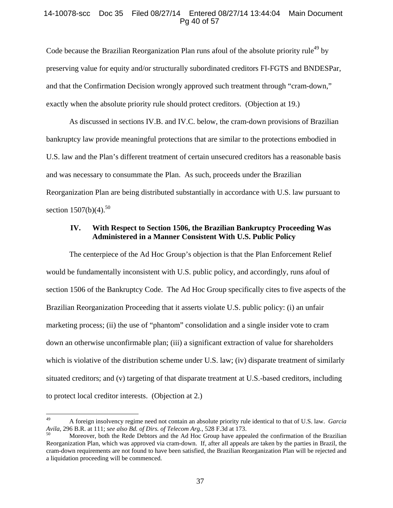## 14-10078-scc Doc 35 Filed 08/27/14 Entered 08/27/14 13:44:04 Main Document Pg 40 of 57

Code because the Brazilian Reorganization Plan runs afoul of the absolute priority rule<sup>49</sup> by preserving value for equity and/or structurally subordinated creditors FI-FGTS and BNDESPar, and that the Confirmation Decision wrongly approved such treatment through "cram-down," exactly when the absolute priority rule should protect creditors. (Objection at 19.)

As discussed in sections IV.B. and IV.C. below, the cram-down provisions of Brazilian bankruptcy law provide meaningful protections that are similar to the protections embodied in U.S. law and the Plan's different treatment of certain unsecured creditors has a reasonable basis and was necessary to consummate the Plan. As such, proceeds under the Brazilian Reorganization Plan are being distributed substantially in accordance with U.S. law pursuant to section  $1507(b)(4)$ .<sup>50</sup>

# **IV. With Respect to Section 1506, the Brazilian Bankruptcy Proceeding Was Administered in a Manner Consistent With U.S. Public Policy**

The centerpiece of the Ad Hoc Group's objection is that the Plan Enforcement Relief would be fundamentally inconsistent with U.S. public policy, and accordingly, runs afoul of section 1506 of the Bankruptcy Code. The Ad Hoc Group specifically cites to five aspects of the Brazilian Reorganization Proceeding that it asserts violate U.S. public policy: (i) an unfair marketing process; (ii) the use of "phantom" consolidation and a single insider vote to cram down an otherwise unconfirmable plan; (iii) a significant extraction of value for shareholders which is violative of the distribution scheme under U.S. law; (iv) disparate treatment of similarly situated creditors; and (v) targeting of that disparate treatment at U.S.-based creditors, including to protect local creditor interests. (Objection at 2.)

<sup>49</sup> A foreign insolvency regime need not contain an absolute priority rule identical to that of U.S. law. *Garcia Avila*, 296 B.R. at 111; *see also Bd. of Dirs. of Telecom Arg.*, 528 F.3d at 173.<br><sup>50</sup> Moreover, both the Rede Debtors and the Ad Hoc Group have appealed the confirmation of the Brazilian

Reorganization Plan, which was approved via cram-down. If, after all appeals are taken by the parties in Brazil, the cram-down requirements are not found to have been satisfied, the Brazilian Reorganization Plan will be rejected and a liquidation proceeding will be commenced.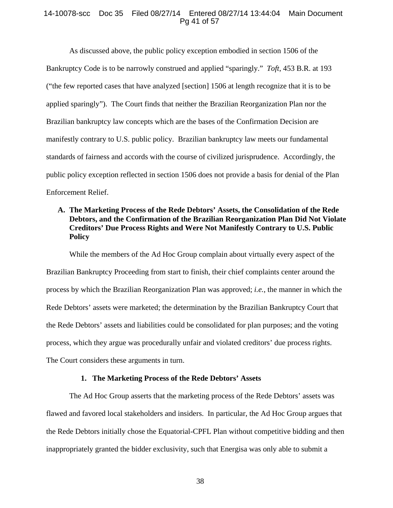## 14-10078-scc Doc 35 Filed 08/27/14 Entered 08/27/14 13:44:04 Main Document Pg 41 of 57

As discussed above, the public policy exception embodied in section 1506 of the Bankruptcy Code is to be narrowly construed and applied "sparingly." *Toft*, 453 B.R. at 193 ("the few reported cases that have analyzed [section] 1506 at length recognize that it is to be applied sparingly"). The Court finds that neither the Brazilian Reorganization Plan nor the Brazilian bankruptcy law concepts which are the bases of the Confirmation Decision are manifestly contrary to U.S. public policy. Brazilian bankruptcy law meets our fundamental standards of fairness and accords with the course of civilized jurisprudence. Accordingly, the public policy exception reflected in section 1506 does not provide a basis for denial of the Plan Enforcement Relief.

# **A. The Marketing Process of the Rede Debtors' Assets, the Consolidation of the Rede Debtors, and the Confirmation of the Brazilian Reorganization Plan Did Not Violate Creditors' Due Process Rights and Were Not Manifestly Contrary to U.S. Public Policy**

While the members of the Ad Hoc Group complain about virtually every aspect of the Brazilian Bankruptcy Proceeding from start to finish, their chief complaints center around the process by which the Brazilian Reorganization Plan was approved; *i.e.*, the manner in which the Rede Debtors' assets were marketed; the determination by the Brazilian Bankruptcy Court that the Rede Debtors' assets and liabilities could be consolidated for plan purposes; and the voting process, which they argue was procedurally unfair and violated creditors' due process rights. The Court considers these arguments in turn.

# **1. The Marketing Process of the Rede Debtors' Assets**

The Ad Hoc Group asserts that the marketing process of the Rede Debtors' assets was flawed and favored local stakeholders and insiders. In particular, the Ad Hoc Group argues that the Rede Debtors initially chose the Equatorial-CPFL Plan without competitive bidding and then inappropriately granted the bidder exclusivity, such that Energisa was only able to submit a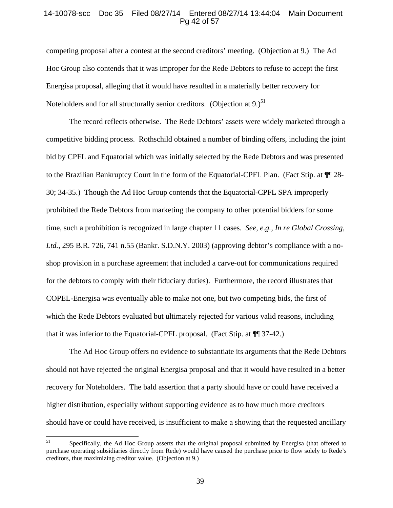#### 14-10078-scc Doc 35 Filed 08/27/14 Entered 08/27/14 13:44:04 Main Document Pg 42 of 57

competing proposal after a contest at the second creditors' meeting. (Objection at 9.) The Ad Hoc Group also contends that it was improper for the Rede Debtors to refuse to accept the first Energisa proposal, alleging that it would have resulted in a materially better recovery for Noteholders and for all structurally senior creditors. (Objection at 9.)<sup>51</sup>

The record reflects otherwise. The Rede Debtors' assets were widely marketed through a competitive bidding process. Rothschild obtained a number of binding offers, including the joint bid by CPFL and Equatorial which was initially selected by the Rede Debtors and was presented to the Brazilian Bankruptcy Court in the form of the Equatorial-CPFL Plan. (Fact Stip. at ¶¶ 28- 30; 34-35.) Though the Ad Hoc Group contends that the Equatorial-CPFL SPA improperly prohibited the Rede Debtors from marketing the company to other potential bidders for some time, such a prohibition is recognized in large chapter 11 cases. *See, e.g., In re Global Crossing, Ltd.*, 295 B.R. 726, 741 n.55 (Bankr. S.D.N.Y. 2003) (approving debtor's compliance with a noshop provision in a purchase agreement that included a carve-out for communications required for the debtors to comply with their fiduciary duties). Furthermore, the record illustrates that COPEL-Energisa was eventually able to make not one, but two competing bids, the first of which the Rede Debtors evaluated but ultimately rejected for various valid reasons, including that it was inferior to the Equatorial-CPFL proposal. (Fact Stip. at ¶¶ 37-42.)

The Ad Hoc Group offers no evidence to substantiate its arguments that the Rede Debtors should not have rejected the original Energisa proposal and that it would have resulted in a better recovery for Noteholders. The bald assertion that a party should have or could have received a higher distribution, especially without supporting evidence as to how much more creditors should have or could have received, is insufficient to make a showing that the requested ancillary

<sup>&</sup>lt;sup>51</sup> Specifically, the Ad Hoc Group asserts that the original proposal submitted by Energisa (that offered to purchase operating subsidiaries directly from Rede) would have caused the purchase price to flow solely to Rede's creditors, thus maximizing creditor value. (Objection at 9.)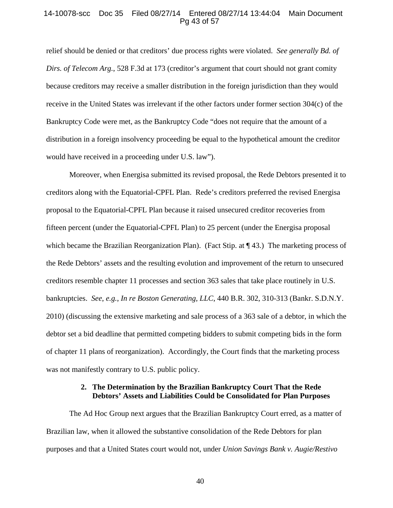### 14-10078-scc Doc 35 Filed 08/27/14 Entered 08/27/14 13:44:04 Main Document Pg 43 of 57

relief should be denied or that creditors' due process rights were violated. *See generally Bd. of Dirs. of Telecom Arg.*, 528 F.3d at 173 (creditor's argument that court should not grant comity because creditors may receive a smaller distribution in the foreign jurisdiction than they would receive in the United States was irrelevant if the other factors under former section 304(c) of the Bankruptcy Code were met, as the Bankruptcy Code "does not require that the amount of a distribution in a foreign insolvency proceeding be equal to the hypothetical amount the creditor would have received in a proceeding under U.S. law").

Moreover, when Energisa submitted its revised proposal, the Rede Debtors presented it to creditors along with the Equatorial-CPFL Plan. Rede's creditors preferred the revised Energisa proposal to the Equatorial-CPFL Plan because it raised unsecured creditor recoveries from fifteen percent (under the Equatorial-CPFL Plan) to 25 percent (under the Energisa proposal which became the Brazilian Reorganization Plan). (Fact Stip. at  $\P$  43.) The marketing process of the Rede Debtors' assets and the resulting evolution and improvement of the return to unsecured creditors resemble chapter 11 processes and section 363 sales that take place routinely in U.S. bankruptcies. *See*, *e.g.*, *In re Boston Generating, LLC*, 440 B.R. 302, 310-313 (Bankr. S.D.N.Y. 2010) (discussing the extensive marketing and sale process of a 363 sale of a debtor, in which the debtor set a bid deadline that permitted competing bidders to submit competing bids in the form of chapter 11 plans of reorganization). Accordingly, the Court finds that the marketing process was not manifestly contrary to U.S. public policy.

# **2. The Determination by the Brazilian Bankruptcy Court That the Rede Debtors' Assets and Liabilities Could be Consolidated for Plan Purposes**

The Ad Hoc Group next argues that the Brazilian Bankruptcy Court erred, as a matter of Brazilian law, when it allowed the substantive consolidation of the Rede Debtors for plan purposes and that a United States court would not, under *Union Savings Bank v. Augie/Restivo*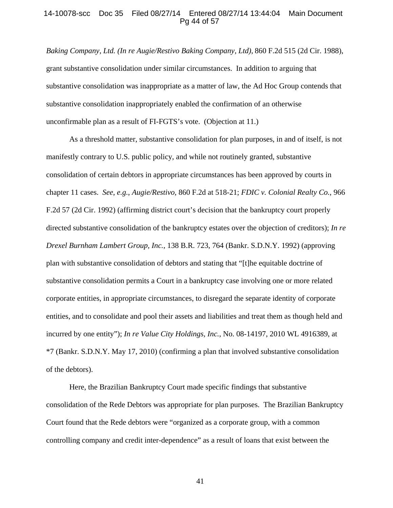#### 14-10078-scc Doc 35 Filed 08/27/14 Entered 08/27/14 13:44:04 Main Document Pg 44 of 57

*Baking Company, Ltd. (In re Augie/Restivo Baking Company, Ltd)*, 860 F.2d 515 (2d Cir. 1988), grant substantive consolidation under similar circumstances. In addition to arguing that substantive consolidation was inappropriate as a matter of law, the Ad Hoc Group contends that substantive consolidation inappropriately enabled the confirmation of an otherwise unconfirmable plan as a result of FI-FGTS's vote. (Objection at 11.)

As a threshold matter, substantive consolidation for plan purposes, in and of itself, is not manifestly contrary to U.S. public policy, and while not routinely granted, substantive consolidation of certain debtors in appropriate circumstances has been approved by courts in chapter 11 cases. *See*, *e.g.*, *Augie/Restivo*, 860 F.2d at 518-21; *FDIC v. Colonial Realty Co.*, 966 F.2d 57 (2d Cir. 1992) (affirming district court's decision that the bankruptcy court properly directed substantive consolidation of the bankruptcy estates over the objection of creditors); *In re Drexel Burnham Lambert Group, Inc.*, 138 B.R. 723, 764 (Bankr. S.D.N.Y. 1992) (approving plan with substantive consolidation of debtors and stating that "[t]he equitable doctrine of substantive consolidation permits a Court in a bankruptcy case involving one or more related corporate entities, in appropriate circumstances, to disregard the separate identity of corporate entities, and to consolidate and pool their assets and liabilities and treat them as though held and incurred by one entity"); *In re Value City Holdings, Inc.*, No. 08-14197, 2010 WL 4916389, at \*7 (Bankr. S.D.N.Y. May 17, 2010) (confirming a plan that involved substantive consolidation of the debtors).

Here, the Brazilian Bankruptcy Court made specific findings that substantive consolidation of the Rede Debtors was appropriate for plan purposes. The Brazilian Bankruptcy Court found that the Rede debtors were "organized as a corporate group, with a common controlling company and credit inter-dependence" as a result of loans that exist between the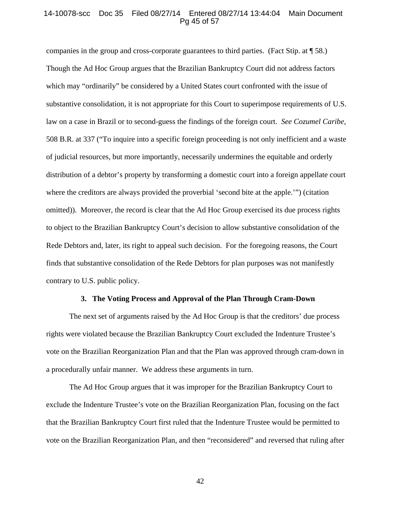#### 14-10078-scc Doc 35 Filed 08/27/14 Entered 08/27/14 13:44:04 Main Document Pg 45 of 57

companies in the group and cross-corporate guarantees to third parties. (Fact Stip. at ¶ 58.) Though the Ad Hoc Group argues that the Brazilian Bankruptcy Court did not address factors which may "ordinarily" be considered by a United States court confronted with the issue of substantive consolidation, it is not appropriate for this Court to superimpose requirements of U.S. law on a case in Brazil or to second-guess the findings of the foreign court. *See Cozumel Caribe*, 508 B.R. at 337 ("To inquire into a specific foreign proceeding is not only inefficient and a waste of judicial resources, but more importantly, necessarily undermines the equitable and orderly distribution of a debtor's property by transforming a domestic court into a foreign appellate court where the creditors are always provided the proverbial 'second bite at the apple.'") (citation omitted)). Moreover, the record is clear that the Ad Hoc Group exercised its due process rights to object to the Brazilian Bankruptcy Court's decision to allow substantive consolidation of the Rede Debtors and, later, its right to appeal such decision. For the foregoing reasons, the Court finds that substantive consolidation of the Rede Debtors for plan purposes was not manifestly contrary to U.S. public policy.

#### **3. The Voting Process and Approval of the Plan Through Cram-Down**

 The next set of arguments raised by the Ad Hoc Group is that the creditors' due process rights were violated because the Brazilian Bankruptcy Court excluded the Indenture Trustee's vote on the Brazilian Reorganization Plan and that the Plan was approved through cram-down in a procedurally unfair manner. We address these arguments in turn.

 The Ad Hoc Group argues that it was improper for the Brazilian Bankruptcy Court to exclude the Indenture Trustee's vote on the Brazilian Reorganization Plan, focusing on the fact that the Brazilian Bankruptcy Court first ruled that the Indenture Trustee would be permitted to vote on the Brazilian Reorganization Plan, and then "reconsidered" and reversed that ruling after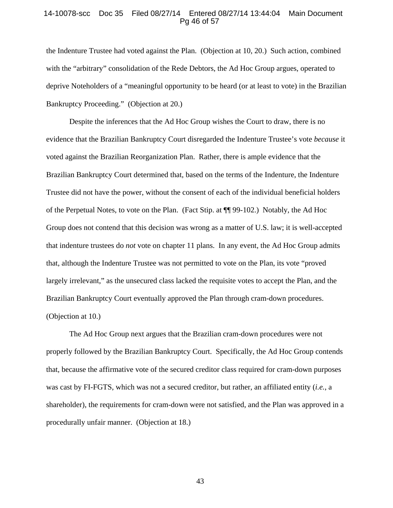### 14-10078-scc Doc 35 Filed 08/27/14 Entered 08/27/14 13:44:04 Main Document Pg 46 of 57

the Indenture Trustee had voted against the Plan. (Objection at 10, 20.) Such action, combined with the "arbitrary" consolidation of the Rede Debtors, the Ad Hoc Group argues, operated to deprive Noteholders of a "meaningful opportunity to be heard (or at least to vote) in the Brazilian Bankruptcy Proceeding." (Objection at 20.)

Despite the inferences that the Ad Hoc Group wishes the Court to draw, there is no evidence that the Brazilian Bankruptcy Court disregarded the Indenture Trustee's vote *because* it voted against the Brazilian Reorganization Plan. Rather, there is ample evidence that the Brazilian Bankruptcy Court determined that, based on the terms of the Indenture, the Indenture Trustee did not have the power, without the consent of each of the individual beneficial holders of the Perpetual Notes, to vote on the Plan. (Fact Stip. at ¶¶ 99-102.) Notably, the Ad Hoc Group does not contend that this decision was wrong as a matter of U.S. law; it is well-accepted that indenture trustees do *not* vote on chapter 11 plans. In any event, the Ad Hoc Group admits that, although the Indenture Trustee was not permitted to vote on the Plan, its vote "proved largely irrelevant," as the unsecured class lacked the requisite votes to accept the Plan, and the Brazilian Bankruptcy Court eventually approved the Plan through cram-down procedures. (Objection at 10.)

The Ad Hoc Group next argues that the Brazilian cram-down procedures were not properly followed by the Brazilian Bankruptcy Court. Specifically, the Ad Hoc Group contends that, because the affirmative vote of the secured creditor class required for cram-down purposes was cast by FI-FGTS, which was not a secured creditor, but rather, an affiliated entity (*i.e.*, a shareholder), the requirements for cram-down were not satisfied, and the Plan was approved in a procedurally unfair manner. (Objection at 18.)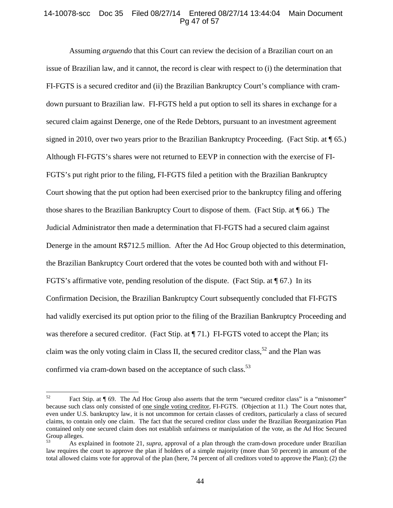## 14-10078-scc Doc 35 Filed 08/27/14 Entered 08/27/14 13:44:04 Main Document Pg 47 of 57

Assuming *arguendo* that this Court can review the decision of a Brazilian court on an issue of Brazilian law, and it cannot, the record is clear with respect to (i) the determination that FI-FGTS is a secured creditor and (ii) the Brazilian Bankruptcy Court's compliance with cramdown pursuant to Brazilian law. FI-FGTS held a put option to sell its shares in exchange for a secured claim against Denerge, one of the Rede Debtors, pursuant to an investment agreement signed in 2010, over two years prior to the Brazilian Bankruptcy Proceeding. (Fact Stip. at ¶ 65.) Although FI-FGTS's shares were not returned to EEVP in connection with the exercise of FI-FGTS's put right prior to the filing, FI-FGTS filed a petition with the Brazilian Bankruptcy Court showing that the put option had been exercised prior to the bankruptcy filing and offering those shares to the Brazilian Bankruptcy Court to dispose of them. (Fact Stip. at ¶ 66.) The Judicial Administrator then made a determination that FI-FGTS had a secured claim against Denerge in the amount R\$712.5 million. After the Ad Hoc Group objected to this determination, the Brazilian Bankruptcy Court ordered that the votes be counted both with and without FI-FGTS's affirmative vote, pending resolution of the dispute. (Fact Stip. at  $\P$  67.) In its Confirmation Decision, the Brazilian Bankruptcy Court subsequently concluded that FI-FGTS had validly exercised its put option prior to the filing of the Brazilian Bankruptcy Proceeding and was therefore a secured creditor. (Fact Stip. at  $\P$  71.) FI-FGTS voted to accept the Plan; its claim was the only voting claim in Class II, the secured creditor class,  $52$  and the Plan was confirmed via cram-down based on the acceptance of such class.<sup>53</sup>

<sup>52</sup> Fact Stip. at ¶ 69. The Ad Hoc Group also asserts that the term "secured creditor class" is a "misnomer" because such class only consisted of one single voting creditor, FI-FGTS. (Objection at 11.) The Court notes that, even under U.S. bankruptcy law, it is not uncommon for certain classes of creditors, particularly a class of secured claims, to contain only one claim. The fact that the secured creditor class under the Brazilian Reorganization Plan contained only one secured claim does not establish unfairness or manipulation of the vote, as the Ad Hoc Secured Group alleges.

<sup>53</sup> As explained in footnote 21, *supra*, approval of a plan through the cram-down procedure under Brazilian law requires the court to approve the plan if holders of a simple majority (more than 50 percent) in amount of the total allowed claims vote for approval of the plan (here, 74 percent of all creditors voted to approve the Plan); (2) the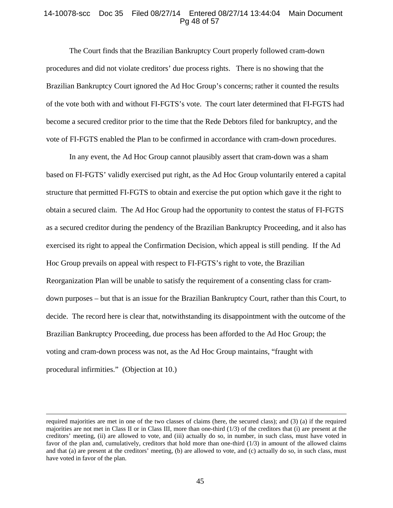## 14-10078-scc Doc 35 Filed 08/27/14 Entered 08/27/14 13:44:04 Main Document Pg 48 of 57

The Court finds that the Brazilian Bankruptcy Court properly followed cram-down procedures and did not violate creditors' due process rights. There is no showing that the Brazilian Bankruptcy Court ignored the Ad Hoc Group's concerns; rather it counted the results of the vote both with and without FI-FGTS's vote. The court later determined that FI-FGTS had become a secured creditor prior to the time that the Rede Debtors filed for bankruptcy, and the vote of FI-FGTS enabled the Plan to be confirmed in accordance with cram-down procedures.

In any event, the Ad Hoc Group cannot plausibly assert that cram-down was a sham based on FI-FGTS' validly exercised put right, as the Ad Hoc Group voluntarily entered a capital structure that permitted FI-FGTS to obtain and exercise the put option which gave it the right to obtain a secured claim. The Ad Hoc Group had the opportunity to contest the status of FI-FGTS as a secured creditor during the pendency of the Brazilian Bankruptcy Proceeding, and it also has exercised its right to appeal the Confirmation Decision, which appeal is still pending. If the Ad Hoc Group prevails on appeal with respect to FI-FGTS's right to vote, the Brazilian Reorganization Plan will be unable to satisfy the requirement of a consenting class for cramdown purposes – but that is an issue for the Brazilian Bankruptcy Court, rather than this Court, to decide. The record here is clear that, notwithstanding its disappointment with the outcome of the Brazilian Bankruptcy Proceeding, due process has been afforded to the Ad Hoc Group; the voting and cram-down process was not, as the Ad Hoc Group maintains, "fraught with procedural infirmities." (Objection at 10.)

<u> 1989 - Johann Stein, marwolaethau a gweledydd a ganlad y ganlad y ganlad y ganlad y ganlad y ganlad y ganlad</u>

required majorities are met in one of the two classes of claims (here, the secured class); and (3) (a) if the required majorities are not met in Class II or in Class III, more than one-third  $(1/3)$  of the creditors that (i) are present at the creditors' meeting, (ii) are allowed to vote, and (iii) actually do so, in number, in such class, must have voted in favor of the plan and, cumulatively, creditors that hold more than one-third (1/3) in amount of the allowed claims and that (a) are present at the creditors' meeting, (b) are allowed to vote, and (c) actually do so, in such class, must have voted in favor of the plan.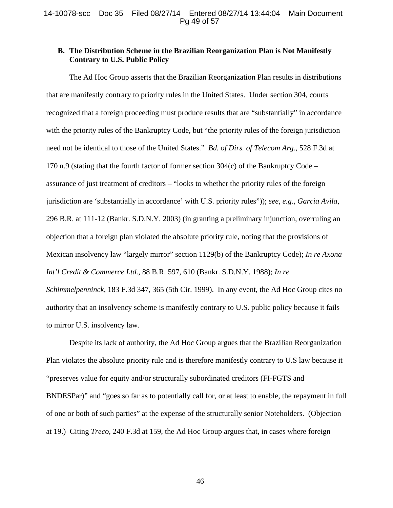# **B. The Distribution Scheme in the Brazilian Reorganization Plan is Not Manifestly Contrary to U.S. Public Policy**

The Ad Hoc Group asserts that the Brazilian Reorganization Plan results in distributions that are manifestly contrary to priority rules in the United States. Under section 304, courts recognized that a foreign proceeding must produce results that are "substantially" in accordance with the priority rules of the Bankruptcy Code, but "the priority rules of the foreign jurisdiction need not be identical to those of the United States." *Bd. of Dirs. of Telecom Arg.*, 528 F.3d at 170 n.9 (stating that the fourth factor of former section 304(c) of the Bankruptcy Code – assurance of just treatment of creditors – "looks to whether the priority rules of the foreign jurisdiction are 'substantially in accordance' with U.S. priority rules")); *see*, *e.g.*, *Garcia Avila*, 296 B.R. at 111-12 (Bankr. S.D.N.Y. 2003) (in granting a preliminary injunction, overruling an objection that a foreign plan violated the absolute priority rule, noting that the provisions of Mexican insolvency law "largely mirror" section 1129(b) of the Bankruptcy Code); *In re Axona Int'l Credit & Commerce Ltd.*, 88 B.R. 597, 610 (Bankr. S.D.N.Y. 1988); *In re Schimmelpenninck*, 183 F.3d 347, 365 (5th Cir. 1999). In any event, the Ad Hoc Group cites no authority that an insolvency scheme is manifestly contrary to U.S. public policy because it fails to mirror U.S. insolvency law.

Despite its lack of authority, the Ad Hoc Group argues that the Brazilian Reorganization Plan violates the absolute priority rule and is therefore manifestly contrary to U.S law because it "preserves value for equity and/or structurally subordinated creditors (FI-FGTS and BNDESPar)" and "goes so far as to potentially call for, or at least to enable, the repayment in full of one or both of such parties" at the expense of the structurally senior Noteholders. (Objection at 19.) Citing *Treco*, 240 F.3d at 159, the Ad Hoc Group argues that, in cases where foreign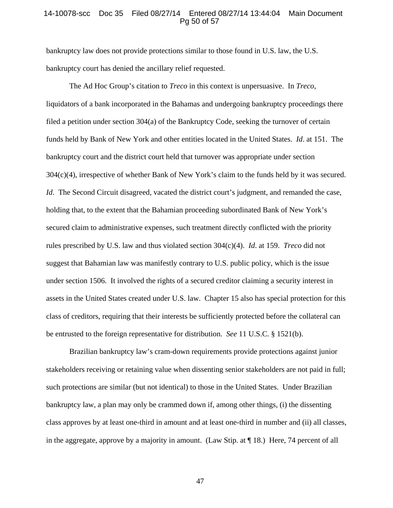#### 14-10078-scc Doc 35 Filed 08/27/14 Entered 08/27/14 13:44:04 Main Document Pg 50 of 57

bankruptcy law does not provide protections similar to those found in U.S. law, the U.S. bankruptcy court has denied the ancillary relief requested.

The Ad Hoc Group's citation to *Treco* in this context is unpersuasive. In *Treco*, liquidators of a bank incorporated in the Bahamas and undergoing bankruptcy proceedings there filed a petition under section 304(a) of the Bankruptcy Code, seeking the turnover of certain funds held by Bank of New York and other entities located in the United States. *Id*. at 151. The bankruptcy court and the district court held that turnover was appropriate under section 304(c)(4), irrespective of whether Bank of New York's claim to the funds held by it was secured. *Id.* The Second Circuit disagreed, vacated the district court's judgment, and remanded the case, holding that, to the extent that the Bahamian proceeding subordinated Bank of New York's secured claim to administrative expenses, such treatment directly conflicted with the priority rules prescribed by U.S. law and thus violated section 304(c)(4). *Id*. at 159. *Treco* did not suggest that Bahamian law was manifestly contrary to U.S. public policy, which is the issue under section 1506. It involved the rights of a secured creditor claiming a security interest in assets in the United States created under U.S. law. Chapter 15 also has special protection for this class of creditors, requiring that their interests be sufficiently protected before the collateral can be entrusted to the foreign representative for distribution. *See* 11 U.S.C. § 1521(b).

Brazilian bankruptcy law's cram-down requirements provide protections against junior stakeholders receiving or retaining value when dissenting senior stakeholders are not paid in full; such protections are similar (but not identical) to those in the United States. Under Brazilian bankruptcy law, a plan may only be crammed down if, among other things, (i) the dissenting class approves by at least one-third in amount and at least one-third in number and (ii) all classes, in the aggregate, approve by a majority in amount. (Law Stip. at ¶ 18.) Here, 74 percent of all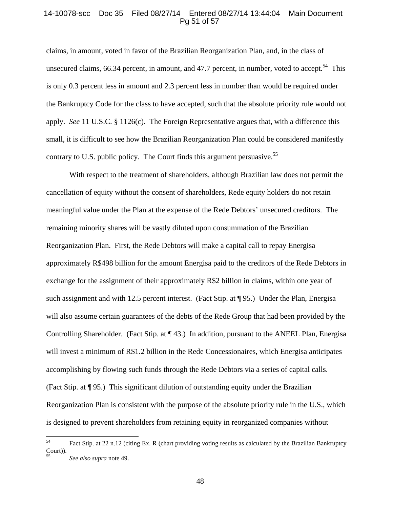### 14-10078-scc Doc 35 Filed 08/27/14 Entered 08/27/14 13:44:04 Main Document Pg 51 of 57

claims, in amount, voted in favor of the Brazilian Reorganization Plan, and, in the class of unsecured claims, 66.34 percent, in amount, and 47.7 percent, in number, voted to accept.<sup>54</sup> This is only 0.3 percent less in amount and 2.3 percent less in number than would be required under the Bankruptcy Code for the class to have accepted, such that the absolute priority rule would not apply. *See* 11 U.S.C. § 1126(c). The Foreign Representative argues that, with a difference this small, it is difficult to see how the Brazilian Reorganization Plan could be considered manifestly contrary to U.S. public policy. The Court finds this argument persuasive.<sup>55</sup>

With respect to the treatment of shareholders, although Brazilian law does not permit the cancellation of equity without the consent of shareholders, Rede equity holders do not retain meaningful value under the Plan at the expense of the Rede Debtors' unsecured creditors. The remaining minority shares will be vastly diluted upon consummation of the Brazilian Reorganization Plan. First, the Rede Debtors will make a capital call to repay Energisa approximately R\$498 billion for the amount Energisa paid to the creditors of the Rede Debtors in exchange for the assignment of their approximately R\$2 billion in claims, within one year of such assignment and with 12.5 percent interest. (Fact Stip. at ¶ 95.) Under the Plan, Energisa will also assume certain guarantees of the debts of the Rede Group that had been provided by the Controlling Shareholder. (Fact Stip. at ¶ 43.) In addition, pursuant to the ANEEL Plan, Energisa will invest a minimum of R\$1.2 billion in the Rede Concessionaires, which Energisa anticipates accomplishing by flowing such funds through the Rede Debtors via a series of capital calls. (Fact Stip. at ¶ 95.) This significant dilution of outstanding equity under the Brazilian Reorganization Plan is consistent with the purpose of the absolute priority rule in the U.S., which is designed to prevent shareholders from retaining equity in reorganized companies without

<sup>54</sup> Fact Stip. at 22 n.12 (citing Ex. R (chart providing voting results as calculated by the Brazilian Bankruptcy Court)). 55 *See also supra* note 49.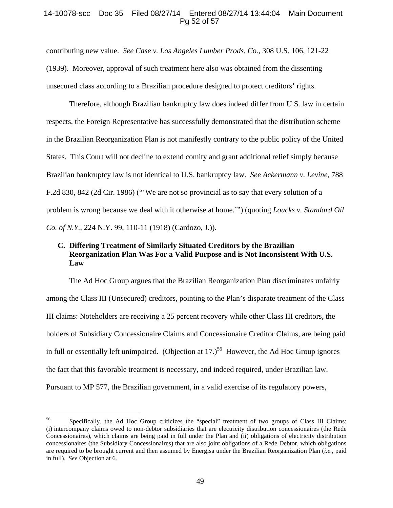## 14-10078-scc Doc 35 Filed 08/27/14 Entered 08/27/14 13:44:04 Main Document Pg 52 of 57

contributing new value. *See Case v. Los Angeles Lumber Prods. Co.*, 308 U.S. 106, 121-22 (1939). Moreover, approval of such treatment here also was obtained from the dissenting unsecured class according to a Brazilian procedure designed to protect creditors' rights.

Therefore, although Brazilian bankruptcy law does indeed differ from U.S. law in certain respects, the Foreign Representative has successfully demonstrated that the distribution scheme in the Brazilian Reorganization Plan is not manifestly contrary to the public policy of the United States. This Court will not decline to extend comity and grant additional relief simply because Brazilian bankruptcy law is not identical to U.S. bankruptcy law. *See Ackermann v. Levine*, 788 F.2d 830, 842 (2d Cir. 1986) ("'We are not so provincial as to say that every solution of a problem is wrong because we deal with it otherwise at home.'") (quoting *Loucks v. Standard Oil Co. of N.Y.*, 224 N.Y. 99, 110-11 (1918) (Cardozo, J.)).

# **C. Differing Treatment of Similarly Situated Creditors by the Brazilian Reorganization Plan Was For a Valid Purpose and is Not Inconsistent With U.S. Law**

The Ad Hoc Group argues that the Brazilian Reorganization Plan discriminates unfairly among the Class III (Unsecured) creditors, pointing to the Plan's disparate treatment of the Class III claims: Noteholders are receiving a 25 percent recovery while other Class III creditors, the holders of Subsidiary Concessionaire Claims and Concessionaire Creditor Claims, are being paid in full or essentially left unimpaired. (Objection at  $17.$ )<sup>56</sup> However, the Ad Hoc Group ignores the fact that this favorable treatment is necessary, and indeed required, under Brazilian law. Pursuant to MP 577, the Brazilian government, in a valid exercise of its regulatory powers,

<sup>56</sup> Specifically, the Ad Hoc Group criticizes the "special" treatment of two groups of Class III Claims: (i) intercompany claims owed to non-debtor subsidiaries that are electricity distribution concessionaires (the Rede Concessionaires), which claims are being paid in full under the Plan and (ii) obligations of electricity distribution concessionaires (the Subsidiary Concessionaires) that are also joint obligations of a Rede Debtor, which obligations are required to be brought current and then assumed by Energisa under the Brazilian Reorganization Plan (*i.e.*, paid in full). *See* Objection at 6.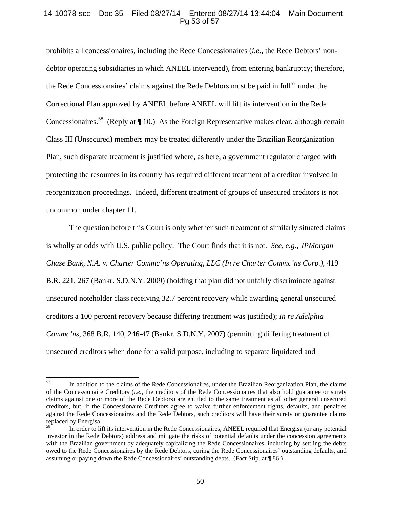# 14-10078-scc Doc 35 Filed 08/27/14 Entered 08/27/14 13:44:04 Main Document Pg 53 of 57

prohibits all concessionaires, including the Rede Concessionaires (*i.e.*, the Rede Debtors' nondebtor operating subsidiaries in which ANEEL intervened), from entering bankruptcy; therefore, the Rede Concessionaires' claims against the Rede Debtors must be paid in  $\text{full}^{57}$  under the Correctional Plan approved by ANEEL before ANEEL will lift its intervention in the Rede Concessionaires.<sup>58</sup> (Reply at  $\P$  10.) As the Foreign Representative makes clear, although certain Class III (Unsecured) members may be treated differently under the Brazilian Reorganization Plan, such disparate treatment is justified where, as here, a government regulator charged with protecting the resources in its country has required different treatment of a creditor involved in reorganization proceedings. Indeed, different treatment of groups of unsecured creditors is not uncommon under chapter 11.

The question before this Court is only whether such treatment of similarly situated claims is wholly at odds with U.S. public policy. The Court finds that it is not. *See*, *e.g.*, *JPMorgan Chase Bank, N.A. v. Charter Commc'ns Operating, LLC (In re Charter Commc'ns Corp.)*, 419 B.R. 221, 267 (Bankr. S.D.N.Y. 2009) (holding that plan did not unfairly discriminate against unsecured noteholder class receiving 32.7 percent recovery while awarding general unsecured creditors a 100 percent recovery because differing treatment was justified); *In re Adelphia Commc'ns*, 368 B.R. 140, 246-47 (Bankr. S.D.N.Y. 2007) (permitting differing treatment of unsecured creditors when done for a valid purpose, including to separate liquidated and

<sup>&</sup>lt;sup>57</sup> In addition to the claims of the Rede Concessionaires, under the Brazilian Reorganization Plan, the claims of the Concessionaire Creditors (*i.e.*, the creditors of the Rede Concessionaires that also hold guarantee or surety claims against one or more of the Rede Debtors) are entitled to the same treatment as all other general unsecured creditors, but, if the Concessionaire Creditors agree to waive further enforcement rights, defaults, and penalties against the Rede Concessionaires and the Rede Debtors, such creditors will have their surety or guarantee claims replaced by Energisa.

<sup>58</sup> In order to lift its intervention in the Rede Concessionaires, ANEEL required that Energisa (or any potential investor in the Rede Debtors) address and mitigate the risks of potential defaults under the concession agreements with the Brazilian government by adequately capitalizing the Rede Concessionaires, including by settling the debts owed to the Rede Concessionaires by the Rede Debtors, curing the Rede Concessionaires' outstanding defaults, and assuming or paying down the Rede Concessionaires' outstanding debts. (Fact Stip. at ¶ 86.)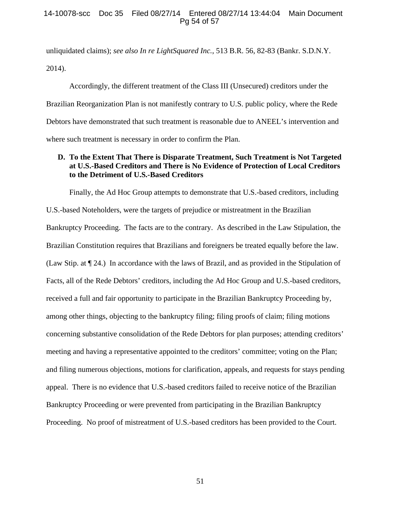# 14-10078-scc Doc 35 Filed 08/27/14 Entered 08/27/14 13:44:04 Main Document Pg 54 of 57

unliquidated claims); *see also In re LightSquared Inc.*, 513 B.R. 56, 82-83 (Bankr. S.D.N.Y. 2014).

Accordingly, the different treatment of the Class III (Unsecured) creditors under the Brazilian Reorganization Plan is not manifestly contrary to U.S. public policy, where the Rede Debtors have demonstrated that such treatment is reasonable due to ANEEL's intervention and where such treatment is necessary in order to confirm the Plan.

# **D. To the Extent That There is Disparate Treatment, Such Treatment is Not Targeted at U.S.-Based Creditors and There is No Evidence of Protection of Local Creditors to the Detriment of U.S.-Based Creditors**

Finally, the Ad Hoc Group attempts to demonstrate that U.S.-based creditors, including U.S.-based Noteholders, were the targets of prejudice or mistreatment in the Brazilian Bankruptcy Proceeding. The facts are to the contrary. As described in the Law Stipulation, the Brazilian Constitution requires that Brazilians and foreigners be treated equally before the law. (Law Stip. at ¶ 24.) In accordance with the laws of Brazil, and as provided in the Stipulation of Facts, all of the Rede Debtors' creditors, including the Ad Hoc Group and U.S.-based creditors, received a full and fair opportunity to participate in the Brazilian Bankruptcy Proceeding by, among other things, objecting to the bankruptcy filing; filing proofs of claim; filing motions concerning substantive consolidation of the Rede Debtors for plan purposes; attending creditors' meeting and having a representative appointed to the creditors' committee; voting on the Plan; and filing numerous objections, motions for clarification, appeals, and requests for stays pending appeal. There is no evidence that U.S.-based creditors failed to receive notice of the Brazilian Bankruptcy Proceeding or were prevented from participating in the Brazilian Bankruptcy Proceeding. No proof of mistreatment of U.S.-based creditors has been provided to the Court.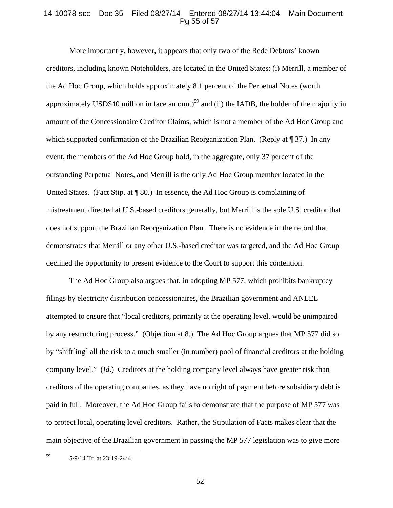### 14-10078-scc Doc 35 Filed 08/27/14 Entered 08/27/14 13:44:04 Main Document Pg 55 of 57

More importantly, however, it appears that only two of the Rede Debtors' known creditors, including known Noteholders, are located in the United States: (i) Merrill, a member of the Ad Hoc Group, which holds approximately 8.1 percent of the Perpetual Notes (worth approximately USD\$40 million in face amount)<sup>59</sup> and (ii) the IADB, the holder of the majority in amount of the Concessionaire Creditor Claims, which is not a member of the Ad Hoc Group and which supported confirmation of the Brazilian Reorganization Plan. (Reply at  $\P$  37.) In any event, the members of the Ad Hoc Group hold, in the aggregate, only 37 percent of the outstanding Perpetual Notes, and Merrill is the only Ad Hoc Group member located in the United States. (Fact Stip. at  $\P$  80.) In essence, the Ad Hoc Group is complaining of mistreatment directed at U.S.-based creditors generally, but Merrill is the sole U.S. creditor that does not support the Brazilian Reorganization Plan. There is no evidence in the record that demonstrates that Merrill or any other U.S.-based creditor was targeted, and the Ad Hoc Group declined the opportunity to present evidence to the Court to support this contention.

The Ad Hoc Group also argues that, in adopting MP 577, which prohibits bankruptcy filings by electricity distribution concessionaires, the Brazilian government and ANEEL attempted to ensure that "local creditors, primarily at the operating level, would be unimpaired by any restructuring process." (Objection at 8.) The Ad Hoc Group argues that MP 577 did so by "shift[ing] all the risk to a much smaller (in number) pool of financial creditors at the holding company level." (*Id*.) Creditors at the holding company level always have greater risk than creditors of the operating companies, as they have no right of payment before subsidiary debt is paid in full. Moreover, the Ad Hoc Group fails to demonstrate that the purpose of MP 577 was to protect local, operating level creditors. Rather, the Stipulation of Facts makes clear that the main objective of the Brazilian government in passing the MP 577 legislation was to give more

  $59$  5/9/14 Tr. at 23:19-24:4.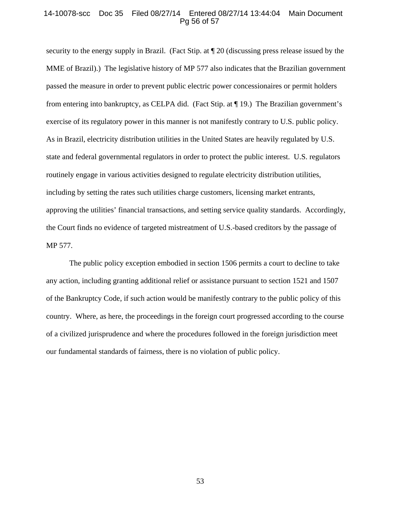#### 14-10078-scc Doc 35 Filed 08/27/14 Entered 08/27/14 13:44:04 Main Document Pg 56 of 57

security to the energy supply in Brazil. (Fact Stip. at ¶ 20 (discussing press release issued by the MME of Brazil).) The legislative history of MP 577 also indicates that the Brazilian government passed the measure in order to prevent public electric power concessionaires or permit holders from entering into bankruptcy, as CELPA did. (Fact Stip. at ¶ 19.) The Brazilian government's exercise of its regulatory power in this manner is not manifestly contrary to U.S. public policy. As in Brazil, electricity distribution utilities in the United States are heavily regulated by U.S. state and federal governmental regulators in order to protect the public interest. U.S. regulators routinely engage in various activities designed to regulate electricity distribution utilities, including by setting the rates such utilities charge customers, licensing market entrants, approving the utilities' financial transactions, and setting service quality standards. Accordingly, the Court finds no evidence of targeted mistreatment of U.S.-based creditors by the passage of MP 577.

The public policy exception embodied in section 1506 permits a court to decline to take any action, including granting additional relief or assistance pursuant to section 1521 and 1507 of the Bankruptcy Code, if such action would be manifestly contrary to the public policy of this country. Where, as here, the proceedings in the foreign court progressed according to the course of a civilized jurisprudence and where the procedures followed in the foreign jurisdiction meet our fundamental standards of fairness, there is no violation of public policy.